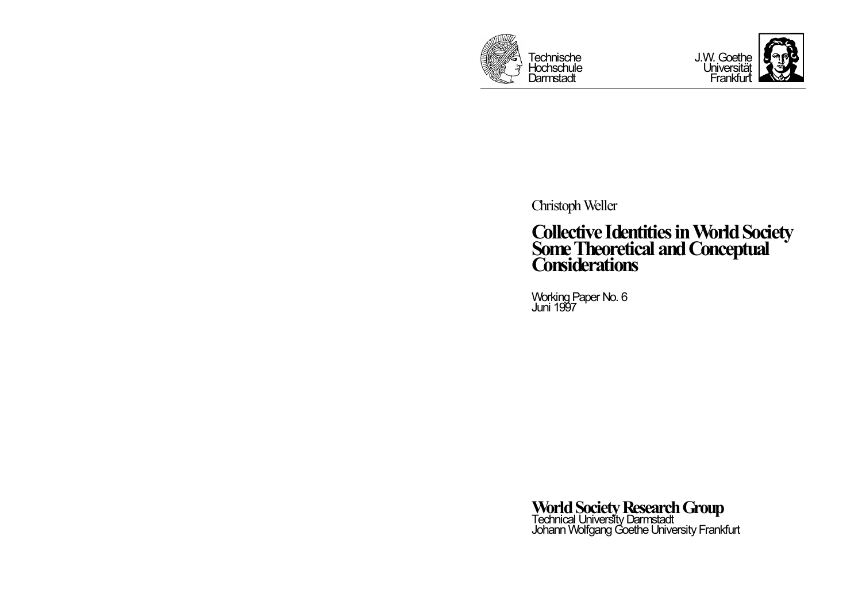



ChristophWeller

# **Collective IdentitiesinWorldSociety SomeTheoretical andConceptual Considerations**

Working Paper No. 6<br>Juni 1997

**World Society Research Group<br>Technical University Darmstadt<br>Johann Wolfgang Goethe University Frankfurt**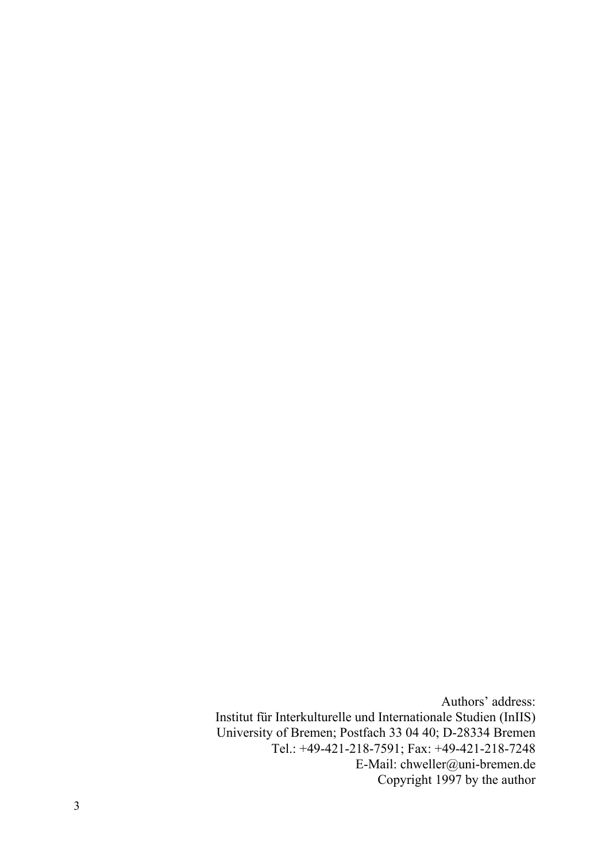Authors' address: Institut für Interkulturelle und Internationale Studien (InIIS) University of Bremen; Postfach 33 04 40; D-28334 Bremen Tel.: +49-421-218-7591; Fax: +49-421-218-7248 E-Mail: chweller@uni-bremen.de Copyright 1997 by the author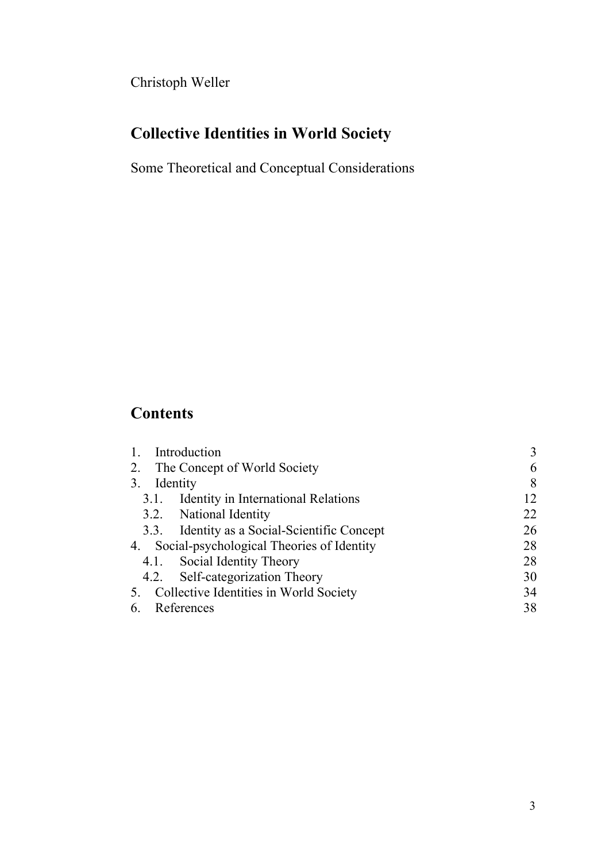Christoph Weller

# **Collective Identities in World Society**

Some Theoretical and Conceptual Considerations

## **Contents**

| Introduction                                 |                                              | 3  |
|----------------------------------------------|----------------------------------------------|----|
| The Concept of World Society<br>2.           |                                              | 6  |
| Identity<br>3.                               |                                              | 8  |
| 3.1.                                         | <b>Identity in International Relations</b>   | 12 |
|                                              | 3.2. National Identity                       | 22 |
|                                              | 3.3. Identity as a Social-Scientific Concept | 26 |
| 4. Social-psychological Theories of Identity |                                              | 28 |
|                                              | 4.1. Social Identity Theory                  | 28 |
|                                              | 4.2. Self-categorization Theory              | 30 |
| 5. Collective Identities in World Society    |                                              | 34 |
| References<br>6                              |                                              | 38 |
|                                              |                                              |    |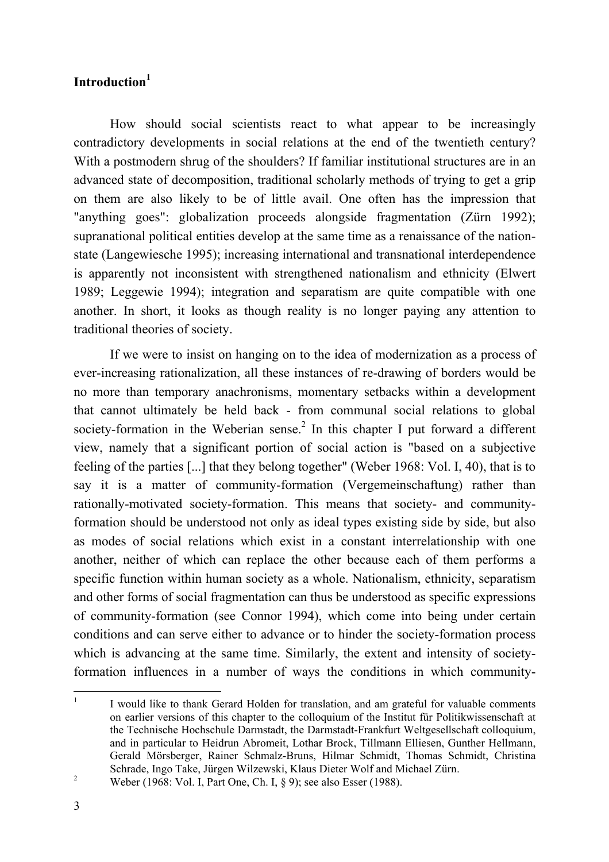## **Introduction 1**

How should social scientists react to what appear to be increasingly contradictory developments in social relations at the end of the twentieth century? With a postmodern shrug of the shoulders? If familiar institutional structures are in an advanced state of decomposition, traditional scholarly methods of trying to get a grip on them are also likely to be of little avail. One often has the impression that "anything goes": globalization proceeds alongside fragmentation (Zürn 1992); supranational political entities develop at the same time as a renaissance of the nationstate (Langewiesche 1995); increasing international and transnational interdependence is apparently not inconsistent with strengthened nationalism and ethnicity (Elwert 1989; Leggewie 1994); integration and separatism are quite compatible with one another. In short, it looks as though reality is no longer paying any attention to traditional theories of society.

If we were to insist on hanging on to the idea of modernization as a process of ever-increasing rationalization, all these instances of re-drawing of borders would be no more than temporary anachronisms, momentary setbacks within a development that cannot ultimately be held back - from communal social relations to global society-formation in the Weberian sense.<sup>2</sup> In this chapter I put forward a different view, namely that a significant portion of social action is "based on a subjective feeling of the parties [...] that they belong together" (Weber 1968: Vol. I, 40), that is to say it is a matter of community-formation (Vergemeinschaftung) rather than rationally-motivated society-formation. This means that society- and communityformation should be understood not only as ideal types existing side by side, but also as modes of social relations which exist in a constant interrelationship with one another, neither of which can replace the other because each of them performs a specific function within human society as a whole. Nationalism, ethnicity, separatism and other forms of social fragmentation can thus be understood as specific expressions of community-formation (see Connor 1994), which come into being under certain conditions and can serve either to advance or to hinder the society-formation process which is advancing at the same time. Similarly, the extent and intensity of societyformation influences in a number of ways the conditions in which community-

<sup>1</sup> I would like to thank Gerard Holden for translation, and am grateful for valuable comments on earlier versions of this chapter to the colloquium of the Institut für Politikwissenschaft at the Technische Hochschule Darmstadt, the Darmstadt-Frankfurt Weltgesellschaft colloquium, and in particular to Heidrun Abromeit, Lothar Brock, Tillmann Elliesen, Gunther Hellmann, Gerald Mörsberger, Rainer Schmalz-Bruns, Hilmar Schmidt, Thomas Schmidt, Christina Schrade, Ingo Take, Jürgen Wilzewski, Klaus Dieter Wolf and Michael Zürn.

<sup>&</sup>lt;sup>2</sup> Weber (1968: Vol. I, Part One, Ch. I,  $\S$  9); see also Esser (1988).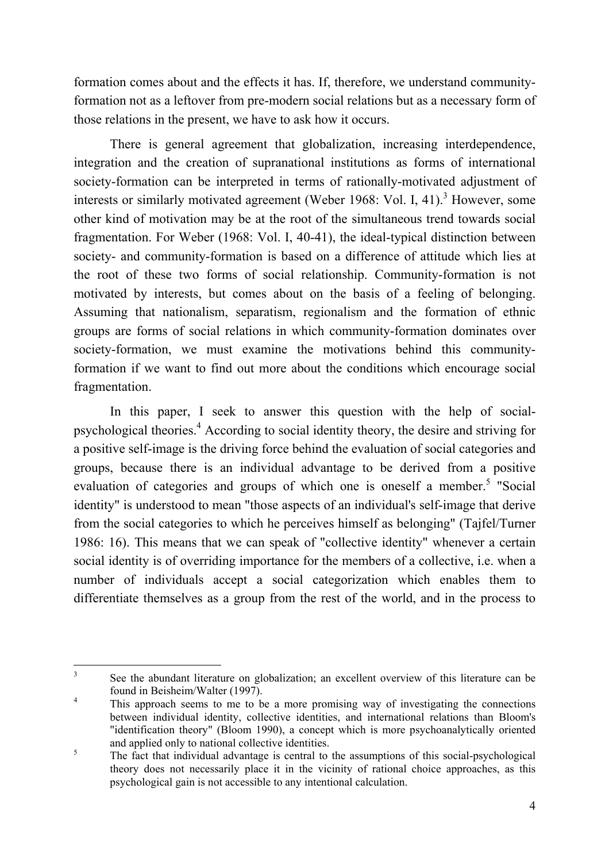formation comes about and the effects it has. If, therefore, we understand communityformation not as a leftover from pre-modern social relations but as a necessary form of those relations in the present, we have to ask how it occurs.

There is general agreement that globalization, increasing interdependence, integration and the creation of supranational institutions as forms of international society-formation can be interpreted in terms of rationally-motivated adjustment of interests or similarly motivated agreement (Weber 1968: Vol. I, 41).<sup>3</sup> However, some other kind of motivation may be at the root of the simultaneous trend towards social fragmentation. For Weber (1968: Vol. I, 40-41), the ideal-typical distinction between society- and community-formation is based on a difference of attitude which lies at the root of these two forms of social relationship. Community-formation is not motivated by interests, but comes about on the basis of a feeling of belonging. Assuming that nationalism, separatism, regionalism and the formation of ethnic groups are forms of social relations in which community-formation dominates over society-formation, we must examine the motivations behind this communityformation if we want to find out more about the conditions which encourage social fragmentation.

In this paper, I seek to answer this question with the help of socialpsychological theories. <sup>4</sup> According to social identity theory, the desire and striving for a positive self-image is the driving force behind the evaluation of social categories and groups, because there is an individual advantage to be derived from a positive evaluation of categories and groups of which one is oneself a member.<sup>5</sup> "Social identity" is understood to mean "those aspects of an individual's self-image that derive from the social categories to which he perceives himself as belonging" (Tajfel/Turner 1986: 16). This means that we can speak of "collective identity" whenever a certain social identity is of overriding importance for the members of a collective, i.e. when a number of individuals accept a social categorization which enables them to differentiate themselves as a group from the rest of the world, and in the process to

<sup>3</sup> See the abundant literature on globalization; an excellent overview of this literature can be found in Beisheim/Walter (1997).

<sup>&</sup>lt;sup>4</sup> This approach seems to me to be a more promising way of investigating the connections between individual identity, collective identities, and international relations than Bloom's "identification theory" (Bloom 1990), a concept which is more psychoanalytically oriented and applied only to national collective identities.

<sup>&</sup>lt;sup>5</sup><br>The fact that individual advantage is central to the assumptions of this social-psychological theory does not necessarily place it in the vicinity of rational choice approaches, as this psychological gain is not accessible to any intentional calculation.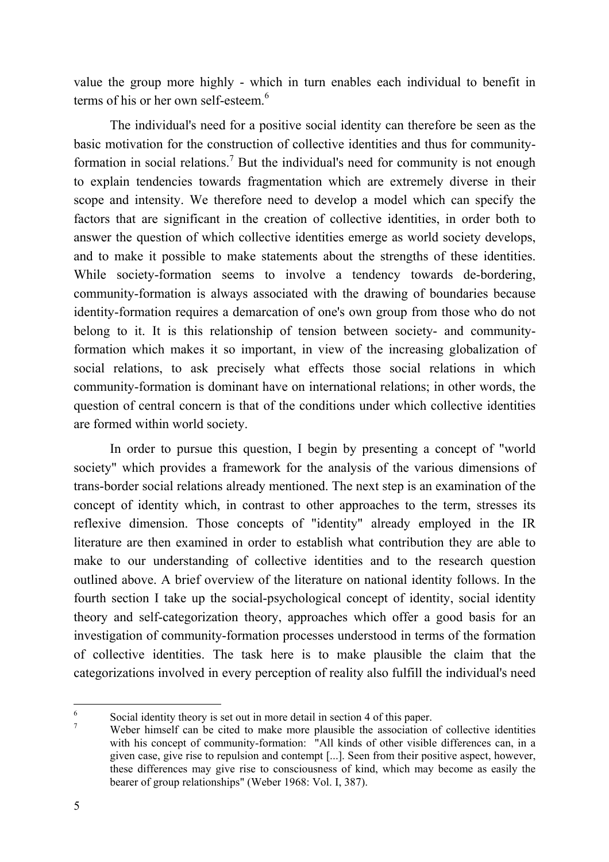value the group more highly - which in turn enables each individual to benefit in terms of his or her own self-esteem. 6

The individual's need for a positive social identity can therefore be seen as the basic motivation for the construction of collective identities and thus for communityformation in social relations.<sup>7</sup> But the individual's need for community is not enough to explain tendencies towards fragmentation which are extremely diverse in their scope and intensity. We therefore need to develop a model which can specify the factors that are significant in the creation of collective identities, in order both to answer the question of which collective identities emerge as world society develops, and to make it possible to make statements about the strengths of these identities. While society-formation seems to involve a tendency towards de-bordering, community-formation is always associated with the drawing of boundaries because identity-formation requires a demarcation of one's own group from those who do not belong to it. It is this relationship of tension between society- and communityformation which makes it so important, in view of the increasing globalization of social relations, to ask precisely what effects those social relations in which community-formation is dominant have on international relations; in other words, the question of central concern is that of the conditions under which collective identities are formed within world society.

In order to pursue this question, I begin by presenting a concept of "world society" which provides a framework for the analysis of the various dimensions of trans-border social relations already mentioned. The next step is an examination of the concept of identity which, in contrast to other approaches to the term, stresses its reflexive dimension. Those concepts of "identity" already employed in the IR literature are then examined in order to establish what contribution they are able to make to our understanding of collective identities and to the research question outlined above. A brief overview of the literature on national identity follows. In the fourth section I take up the social-psychological concept of identity, social identity theory and self-categorization theory, approaches which offer a good basis for an investigation of community-formation processes understood in terms of the formation of collective identities. The task here is to make plausible the claim that the categorizations involved in every perception of reality also fulfill the individual's need

<sup>6</sup> Social identity theory is set out in more detail in section 4 of this paper.

<sup>&</sup>lt;sup>7</sup> Weber himself can be cited to make more plausible the association of collective identities with his concept of community-formation: "All kinds of other visible differences can, in a given case, give rise to repulsion and contempt [...]. Seen from their positive aspect, however, these differences may give rise to consciousness of kind, which may become as easily the bearer of group relationships" (Weber 1968: Vol. I, 387).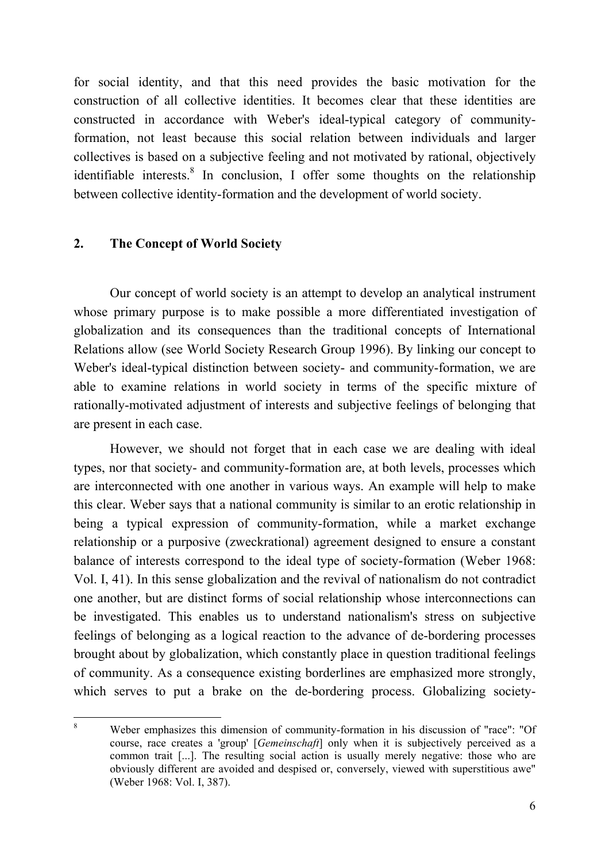for social identity, and that this need provides the basic motivation for the construction of all collective identities. It becomes clear that these identities are constructed in accordance with Weber's ideal-typical category of communityformation, not least because this social relation between individuals and larger collectives is based on a subjective feeling and not motivated by rational, objectively identifiable interests. 8 In conclusion, I offer some thoughts on the relationship between collective identity-formation and the development of world society.

#### **2. The Concept of World Society**

Our concept of world society is an attempt to develop an analytical instrument whose primary purpose is to make possible a more differentiated investigation of globalization and its consequences than the traditional concepts of International Relations allow (see World Society Research Group 1996). By linking our concept to Weber's ideal-typical distinction between society- and community-formation, we are able to examine relations in world society in terms of the specific mixture of rationally-motivated adjustment of interests and subjective feelings of belonging that are present in each case.

However, we should not forget that in each case we are dealing with ideal types, nor that society- and community-formation are, at both levels, processes which are interconnected with one another in various ways. An example will help to make this clear. Weber says that a national community is similar to an erotic relationship in being a typical expression of community-formation, while a market exchange relationship or a purposive (zweckrational) agreement designed to ensure a constant balance of interests correspond to the ideal type of society-formation (Weber 1968: Vol. I, 41). In this sense globalization and the revival of nationalism do not contradict one another, but are distinct forms of social relationship whose interconnections can be investigated. This enables us to understand nationalism's stress on subjective feelings of belonging as a logical reaction to the advance of de-bordering processes brought about by globalization, which constantly place in question traditional feelings of community. As a consequence existing borderlines are emphasized more strongly, which serves to put a brake on the de-bordering process. Globalizing society-

<sup>8</sup> Weber emphasizes this dimension of community-formation in his discussion of "race": "Of course, race creates a 'group' [*Gemeinschaft*] only when it is subjectively perceived as a common trait [...]. The resulting social action is usually merely negative: those who are obviously different are avoided and despised or, conversely, viewed with superstitious awe" (Weber 1968: Vol. I, 387).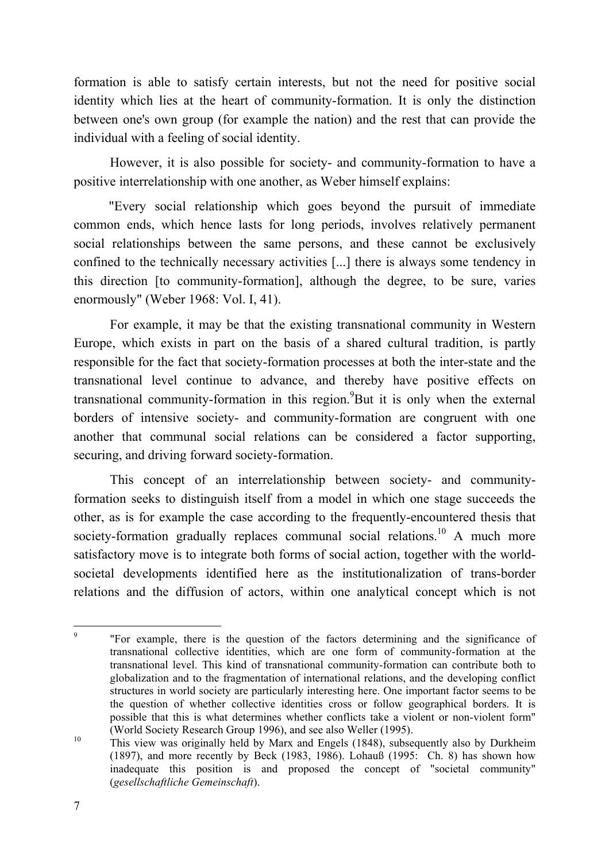formation is able to satisfy certain interests, but not the need for positive social identity which lies at the heart of community-formation. It is only the distinction between one's own group (for example the nation) and the rest that can provide the individual with a feeling of social identity.

However, it is also possible for society- and community-formation to have a positive interrelationship with one another, as Weber himself explains:

"Every social relationship which goes beyond the pursuit of immediate common ends, which hence lasts for long periods, involves relatively permanent social relationships between the same persons, and these cannot be exclusively confined to the technically necessary activities [...] there is always some tendency in this direction [to community-formation], although the degree, to be sure, varies enormously" (Weber 1968: Vol. I, 41).

For example, it may be that the existing transnational community in Western Europe, which exists in part on the basis of a shared cultural tradition, is partly responsible for the fact that society-formation processes at both the inter-state and the transnational level continue to advance, and thereby have positive effects on transnational community-formation in this region. But it is only when the external borders of intensive society- and community-formation are congruent with one another that communal social relations can be considered a factor supporting, securing, and driving forward society-formation.

This concept of an interrelationship between society- and communityformation seeks to distinguish itself from a model in which one stage succeeds the other, as is for example the case according to the frequently-encountered thesis that society-formation gradually replaces communal social relations.<sup>10</sup> A much more satisfactory move is to integrate both forms of social action, together with the worldsocietal developments identified here as the institutionalization of trans-border relations and the diffusion of actors, within one analytical concept which is not

<sup>9</sup> "For example, there is the question of the factors determining and the significance of transnational collective identities, which are one form of community-formation at the transnational level. This kind of transnational community-formation can contribute both to globalization and to the fragmentation of international relations, and the developing conflict structures in world society are particularly interesting here. One important factor seems to be the question of whether collective identities cross or follow geographical borders. It is possible that this is what determines whether conflicts take a violent or non-violent form" (World Society Research Group 1996), and see also Weller (1995).

<sup>&</sup>lt;sup>10</sup> This view was originally held by Marx and Engels (1848), subsequently also by Durkheim (1897), and more recently by Beck (1983, 1986). Lohauß (1995: Ch. 8) has shown how inadequate this position is and proposed the concept of "societal community" (*gesellschaftliche Gemeinschaft*).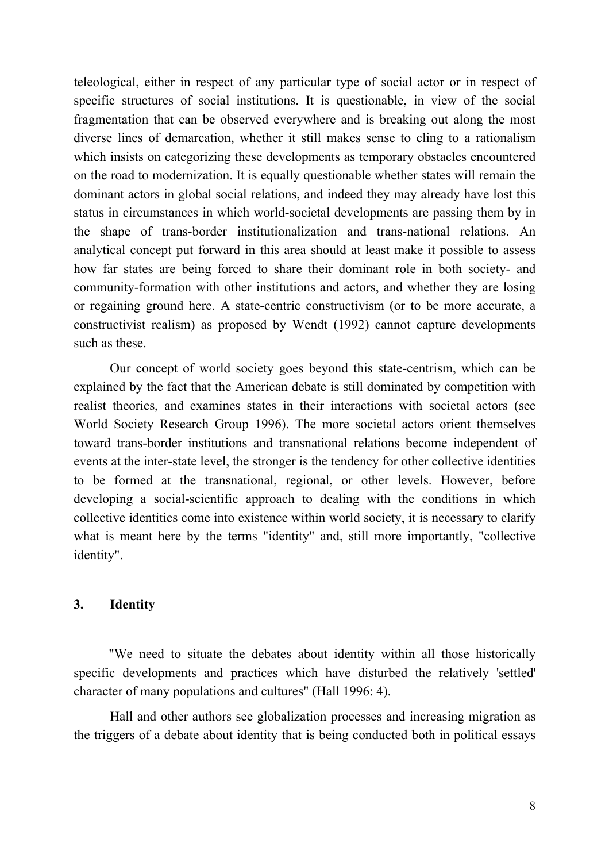teleological, either in respect of any particular type of social actor or in respect of specific structures of social institutions. It is questionable, in view of the social fragmentation that can be observed everywhere and is breaking out along the most diverse lines of demarcation, whether it still makes sense to cling to a rationalism which insists on categorizing these developments as temporary obstacles encountered on the road to modernization. It is equally questionable whether states will remain the dominant actors in global social relations, and indeed they may already have lost this status in circumstances in which world-societal developments are passing them by in the shape of trans-border institutionalization and trans-national relations. An analytical concept put forward in this area should at least make it possible to assess how far states are being forced to share their dominant role in both society- and community-formation with other institutions and actors, and whether they are losing or regaining ground here. A state-centric constructivism (or to be more accurate, a constructivist realism) as proposed by Wendt (1992) cannot capture developments such as these.

Our concept of world society goes beyond this state-centrism, which can be explained by the fact that the American debate is still dominated by competition with realist theories, and examines states in their interactions with societal actors (see World Society Research Group 1996). The more societal actors orient themselves toward trans-border institutions and transnational relations become independent of events at the inter-state level, the stronger is the tendency for other collective identities to be formed at the transnational, regional, or other levels. However, before developing a social-scientific approach to dealing with the conditions in which collective identities come into existence within world society, it is necessary to clarify what is meant here by the terms "identity" and, still more importantly, "collective identity".

### **3. Identity**

"We need to situate the debates about identity within all those historically specific developments and practices which have disturbed the relatively 'settled' character of many populations and cultures" (Hall 1996: 4).

Hall and other authors see globalization processes and increasing migration as the triggers of a debate about identity that is being conducted both in political essays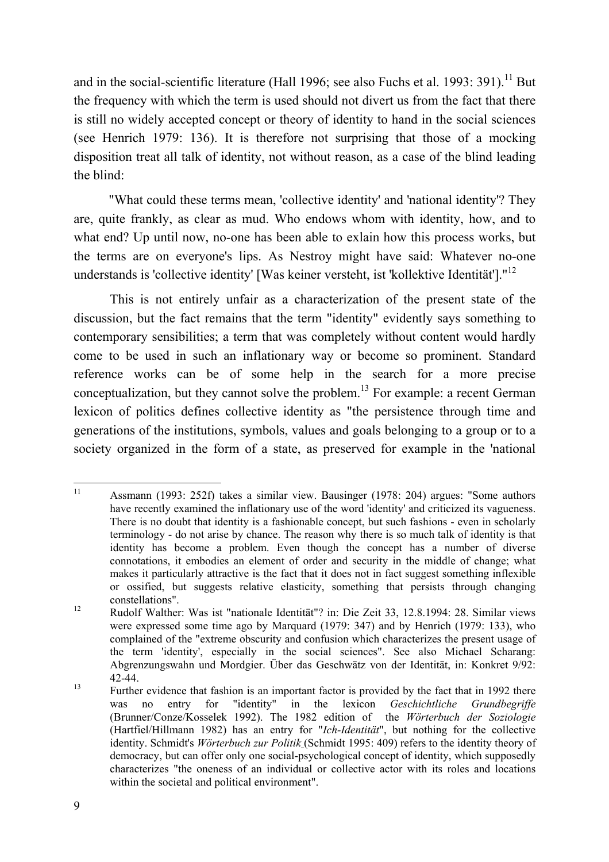and in the social-scientific literature (Hall 1996; see also Fuchs et al. 1993: 391).<sup>11</sup> But the frequency with which the term is used should not divert us from the fact that there is still no widely accepted concept or theory of identity to hand in the social sciences (see Henrich 1979: 136). It is therefore not surprising that those of a mocking disposition treat all talk of identity, not without reason, as a case of the blind leading the blind:

"What could these terms mean, 'collective identity' and 'national identity'? They are, quite frankly, as clear as mud. Who endows whom with identity, how, and to what end? Up until now, no-one has been able to exlain how this process works, but the terms are on everyone's lips. As Nestroy might have said: Whatever no-one understands is 'collective identity' [Was keiner versteht, ist 'kollektive Identität']."<sup>12</sup>

This is not entirely unfair as a characterization of the present state of the discussion, but the fact remains that the term "identity" evidently says something to contemporary sensibilities; a term that was completely without content would hardly come to be used in such an inflationary way or become so prominent. Standard reference works can be of some help in the search for a more precise conceptualization, but they cannot solve the problem.<sup>13</sup> For example: a recent German lexicon of politics defines collective identity as "the persistence through time and generations of the institutions, symbols, values and goals belonging to a group or to a society organized in the form of a state, as preserved for example in the 'national

<sup>11</sup> Assmann (1993: 252f) takes a similar view. Bausinger (1978: 204) argues: "Some authors have recently examined the inflationary use of the word 'identity' and criticized its vagueness. There is no doubt that identity is a fashionable concept, but such fashions - even in scholarly terminology - do not arise by chance. The reason why there is so much talk of identity is that identity has become a problem. Even though the concept has a number of diverse connotations, it embodies an element of order and security in the middle of change; what makes it particularly attractive is the fact that it does not in fact suggest something inflexible or ossified, but suggests relative elasticity, something that persists through changing constellations".

<sup>12</sup> Rudolf Walther: Was ist "nationale Identität"? in: Die Zeit 33, 12.8.1994: 28. Similar views were expressed some time ago by Marquard (1979: 347) and by Henrich (1979: 133), who complained of the "extreme obscurity and confusion which characterizes the present usage of the term 'identity', especially in the social sciences". See also Michael Scharang: Abgrenzungswahn und Mordgier. Über das Geschwätz von der Identität, in: Konkret 9/92: 42-44.

<sup>13</sup> Further evidence that fashion is an important factor is provided by the fact that in 1992 there was no entry for "identity" in the lexicon *Geschichtliche Grundbegriffe* (Brunner/Conze/Kosselek 1992). The 1982 edition of the *Wörterbuch der Soziologie* (Hartfiel/Hillmann 1982) has an entry for "*Ich-Identität*", but nothing for the collective identity. Schmidt's *Wörterbuch zur Politik* (Schmidt 1995: 409) refers to the identity theory of democracy, but can offer only one social-psychological concept of identity, which supposedly characterizes "the oneness of an individual or collective actor with its roles and locations within the societal and political environment".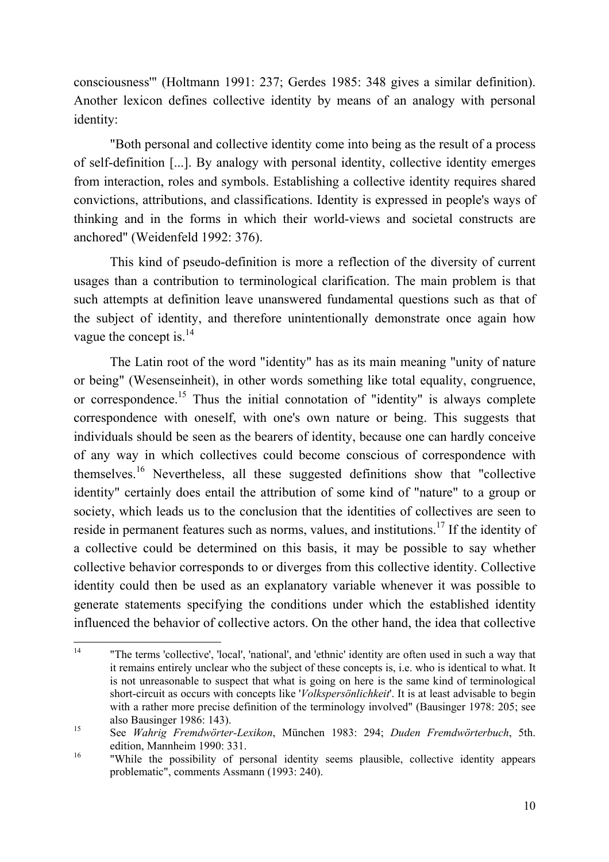consciousness'" (Holtmann 1991: 237; Gerdes 1985: 348 gives a similar definition). Another lexicon defines collective identity by means of an analogy with personal identity:

"Both personal and collective identity come into being as the result of a process of self-definition [...]. By analogy with personal identity, collective identity emerges from interaction, roles and symbols. Establishing a collective identity requires shared convictions, attributions, and classifications. Identity is expressed in people's ways of thinking and in the forms in which their world-views and societal constructs are anchored" (Weidenfeld 1992: 376).

This kind of pseudo-definition is more a reflection of the diversity of current usages than a contribution to terminological clarification. The main problem is that such attempts at definition leave unanswered fundamental questions such as that of the subject of identity, and therefore unintentionally demonstrate once again how vague the concept is.<sup>14</sup>

The Latin root of the word "identity" has as its main meaning "unity of nature or being" (Wesenseinheit), in other words something like total equality, congruence, or correspondence.<sup>15</sup> Thus the initial connotation of "identity" is always complete correspondence with oneself, with one's own nature or being. This suggests that individuals should be seen as the bearers of identity, because one can hardly conceive of any way in which collectives could become conscious of correspondence with themselves.<sup>16</sup> Nevertheless, all these suggested definitions show that "collective identity" certainly does entail the attribution of some kind of "nature" to a group or society, which leads us to the conclusion that the identities of collectives are seen to reside in permanent features such as norms, values, and institutions.<sup>17</sup> If the identity of a collective could be determined on this basis, it may be possible to say whether collective behavior corresponds to or diverges from this collective identity. Collective identity could then be used as an explanatory variable whenever it was possible to generate statements specifying the conditions under which the established identity influenced the behavior of collective actors. On the other hand, the idea that collective

<sup>14</sup> "The terms 'collective', 'local', 'national', and 'ethnic' identity are often used in such a way that it remains entirely unclear who the subject of these concepts is, i.e. who is identical to what. It is not unreasonable to suspect that what is going on here is the same kind of terminological short-circuit as occurs with concepts like '*Volkspersönlichkeit*'. It is at least advisable to begin with a rather more precise definition of the terminology involved" (Bausinger 1978: 205; see also Bausinger 1986: 143).

<sup>15</sup> See *Wahrig Fremdwörter-Lexikon*, München 1983: 294; *Duden Fremdwörterbuch*, 5th. edition, Mannheim 1990: 331.

<sup>16</sup> "While the possibility of personal identity seems plausible, collective identity appears problematic", comments Assmann (1993: 240).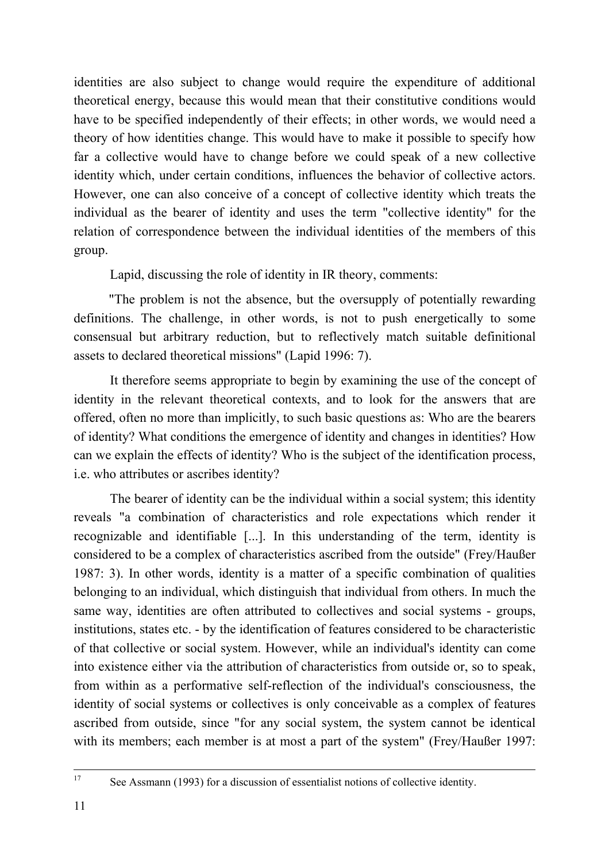identities are also subject to change would require the expenditure of additional theoretical energy, because this would mean that their constitutive conditions would have to be specified independently of their effects; in other words, we would need a theory of how identities change. This would have to make it possible to specify how far a collective would have to change before we could speak of a new collective identity which, under certain conditions, influences the behavior of collective actors. However, one can also conceive of a concept of collective identity which treats the individual as the bearer of identity and uses the term "collective identity" for the relation of correspondence between the individual identities of the members of this group.

Lapid, discussing the role of identity in IR theory, comments:

"The problem is not the absence, but the oversupply of potentially rewarding definitions. The challenge, in other words, is not to push energetically to some consensual but arbitrary reduction, but to reflectively match suitable definitional assets to declared theoretical missions" (Lapid 1996: 7).

It therefore seems appropriate to begin by examining the use of the concept of identity in the relevant theoretical contexts, and to look for the answers that are offered, often no more than implicitly, to such basic questions as: Who are the bearers of identity? What conditions the emergence of identity and changes in identities? How can we explain the effects of identity? Who is the subject of the identification process, i.e. who attributes or ascribes identity?

The bearer of identity can be the individual within a social system; this identity reveals "a combination of characteristics and role expectations which render it recognizable and identifiable [...]. In this understanding of the term, identity is considered to be a complex of characteristics ascribed from the outside" (Frey/Haußer 1987: 3). In other words, identity is a matter of a specific combination of qualities belonging to an individual, which distinguish that individual from others. In much the same way, identities are often attributed to collectives and social systems - groups, institutions, states etc. - by the identification of features considered to be characteristic of that collective or social system. However, while an individual's identity can come into existence either via the attribution of characteristics from outside or, so to speak, from within as a performative self-reflection of the individual's consciousness, the identity of social systems or collectives is only conceivable as a complex of features ascribed from outside, since "for any social system, the system cannot be identical with its members; each member is at most a part of the system" (Frey/Haußer 1997:

17

See Assmann (1993) for a discussion of essentialist notions of collective identity.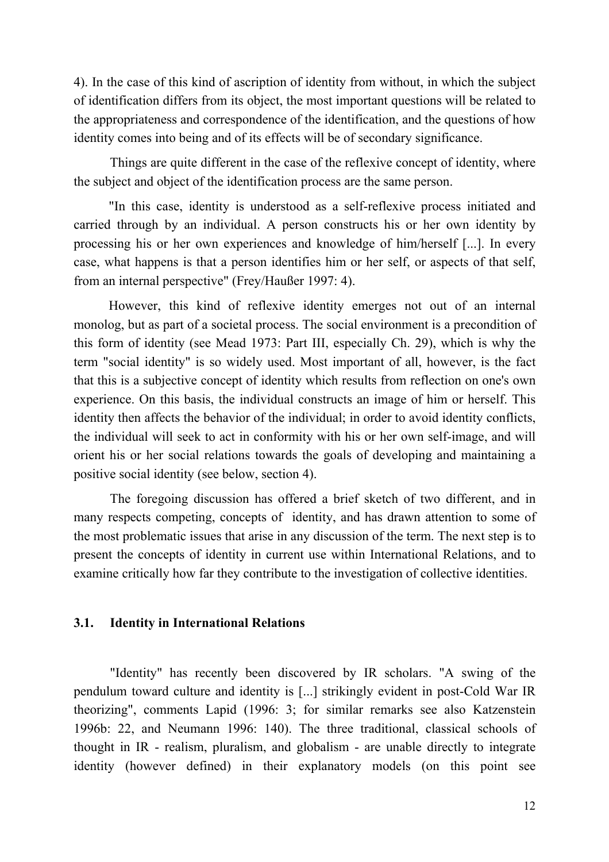4). In the case of this kind of ascription of identity from without, in which the subject of identification differs from its object, the most important questions will be related to the appropriateness and correspondence of the identification, and the questions of how identity comes into being and of its effects will be of secondary significance.

Things are quite different in the case of the reflexive concept of identity, where the subject and object of the identification process are the same person.

"In this case, identity is understood as a self-reflexive process initiated and carried through by an individual. A person constructs his or her own identity by processing his or her own experiences and knowledge of him/herself [...]. In every case, what happens is that a person identifies him or her self, or aspects of that self, from an internal perspective" (Frey/Haußer 1997: 4).

However, this kind of reflexive identity emerges not out of an internal monolog, but as part of a societal process. The social environment is a precondition of this form of identity (see Mead 1973: Part III, especially Ch. 29), which is why the term "social identity" is so widely used. Most important of all, however, is the fact that this is a subjective concept of identity which results from reflection on one's own experience. On this basis, the individual constructs an image of him or herself. This identity then affects the behavior of the individual; in order to avoid identity conflicts, the individual will seek to act in conformity with his or her own self-image, and will orient his or her social relations towards the goals of developing and maintaining a positive social identity (see below, section 4).

The foregoing discussion has offered a brief sketch of two different, and in many respects competing, concepts of identity, and has drawn attention to some of the most problematic issues that arise in any discussion of the term. The next step is to present the concepts of identity in current use within International Relations, and to examine critically how far they contribute to the investigation of collective identities.

#### **3.1. Identity in International Relations**

"Identity" has recently been discovered by IR scholars. "A swing of the pendulum toward culture and identity is [...] strikingly evident in post-Cold War IR theorizing", comments Lapid (1996: 3; for similar remarks see also Katzenstein 1996b: 22, and Neumann 1996: 140). The three traditional, classical schools of thought in IR - realism, pluralism, and globalism - are unable directly to integrate identity (however defined) in their explanatory models (on this point see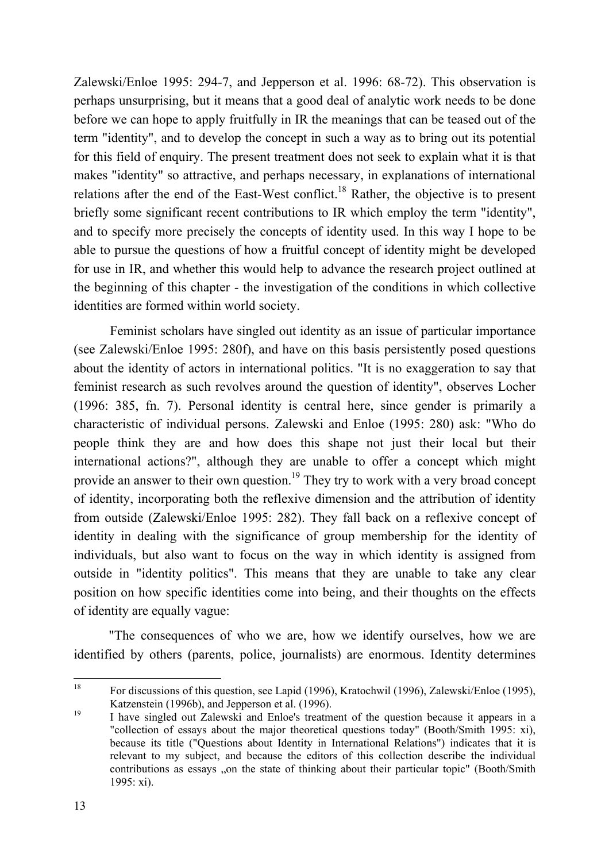Zalewski/Enloe 1995: 294-7, and Jepperson et al. 1996: 68-72). This observation is perhaps unsurprising, but it means that a good deal of analytic work needs to be done before we can hope to apply fruitfully in IR the meanings that can be teased out of the term "identity", and to develop the concept in such a way as to bring out its potential for this field of enquiry. The present treatment does not seek to explain what it is that makes "identity" so attractive, and perhaps necessary, in explanations of international relations after the end of the East-West conflict.<sup>18</sup> Rather, the objective is to present briefly some significant recent contributions to IR which employ the term "identity", and to specify more precisely the concepts of identity used. In this way I hope to be able to pursue the questions of how a fruitful concept of identity might be developed for use in IR, and whether this would help to advance the research project outlined at the beginning of this chapter - the investigation of the conditions in which collective identities are formed within world society.

Feminist scholars have singled out identity as an issue of particular importance (see Zalewski/Enloe 1995: 280f), and have on this basis persistently posed questions about the identity of actors in international politics. "It is no exaggeration to say that feminist research as such revolves around the question of identity", observes Locher (1996: 385, fn. 7). Personal identity is central here, since gender is primarily a characteristic of individual persons. Zalewski and Enloe (1995: 280) ask: "Who do people think they are and how does this shape not just their local but their international actions?", although they are unable to offer a concept which might provide an answer to their own question.<sup>19</sup> They try to work with a very broad concept of identity, incorporating both the reflexive dimension and the attribution of identity from outside (Zalewski/Enloe 1995: 282). They fall back on a reflexive concept of identity in dealing with the significance of group membership for the identity of individuals, but also want to focus on the way in which identity is assigned from outside in "identity politics". This means that they are unable to take any clear position on how specific identities come into being, and their thoughts on the effects of identity are equally vague:

"The consequences of who we are, how we identify ourselves, how we are identified by others (parents, police, journalists) are enormous. Identity determines

<sup>18</sup> For discussions of this question, see Lapid (1996), Kratochwil (1996), Zalewski/Enloe (1995), Katzenstein (1996b), and Jepperson et al. (1996).

<sup>19</sup> I have singled out Zalewski and Enloe's treatment of the question because it appears in a "collection of essays about the major theoretical questions today" (Booth/Smith 1995: xi), because its title ("Questions about Identity in International Relations") indicates that it is relevant to my subject, and because the editors of this collection describe the individual contributions as essays "on the state of thinking about their particular topic" (Booth/Smith 1995: xi).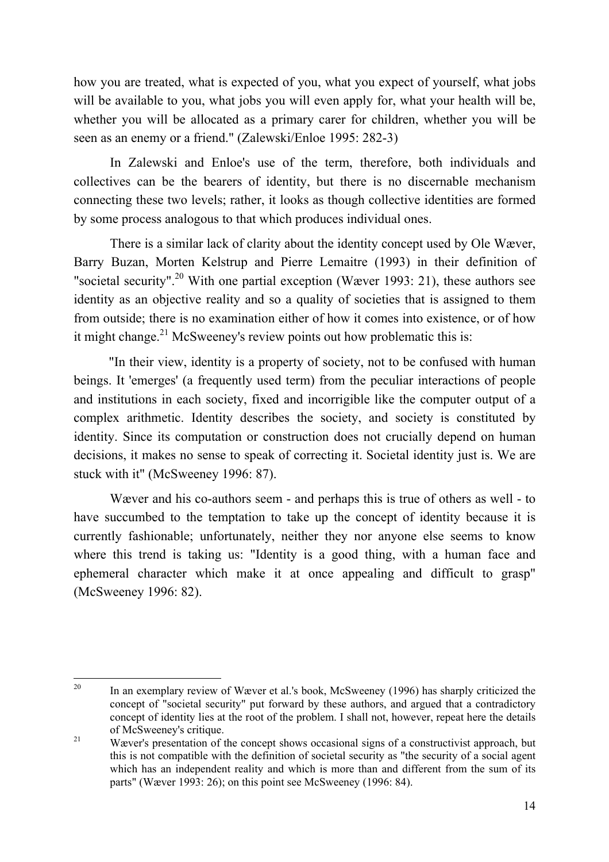how you are treated, what is expected of you, what you expect of yourself, what jobs will be available to you, what jobs you will even apply for, what your health will be, whether you will be allocated as a primary carer for children, whether you will be seen as an enemy or a friend." (Zalewski/Enloe 1995: 282-3)

In Zalewski and Enloe's use of the term, therefore, both individuals and collectives can be the bearers of identity, but there is no discernable mechanism connecting these two levels; rather, it looks as though collective identities are formed by some process analogous to that which produces individual ones.

There is a similar lack of clarity about the identity concept used by Ole Wæver, Barry Buzan, Morten Kelstrup and Pierre Lemaitre (1993) in their definition of "societal security".<sup>20</sup> With one partial exception (Wæver 1993: 21), these authors see identity as an objective reality and so a quality of societies that is assigned to them from outside; there is no examination either of how it comes into existence, or of how it might change.<sup>21</sup> McSweeney's review points out how problematic this is:

"In their view, identity is a property of society, not to be confused with human beings. It 'emerges' (a frequently used term) from the peculiar interactions of people and institutions in each society, fixed and incorrigible like the computer output of a complex arithmetic. Identity describes the society, and society is constituted by identity. Since its computation or construction does not crucially depend on human decisions, it makes no sense to speak of correcting it. Societal identity just is. We are stuck with it" (McSweeney 1996: 87).

Wæver and his co-authors seem - and perhaps this is true of others as well - to have succumbed to the temptation to take up the concept of identity because it is currently fashionable; unfortunately, neither they nor anyone else seems to know where this trend is taking us: "Identity is a good thing, with a human face and ephemeral character which make it at once appealing and difficult to grasp" (McSweeney 1996: 82).

<sup>20</sup> In an exemplary review of Wæver et al.'s book, McSweeney (1996) has sharply criticized the concept of "societal security" put forward by these authors, and argued that a contradictory concept of identity lies at the root of the problem. I shall not, however, repeat here the details of McSweeney's critique.

<sup>&</sup>lt;sup>21</sup> Wæver's presentation of the concept shows occasional signs of a constructivist approach, but this is not compatible with the definition of societal security as "the security of a social agent which has an independent reality and which is more than and different from the sum of its parts" (Wæver 1993: 26); on this point see McSweeney (1996: 84).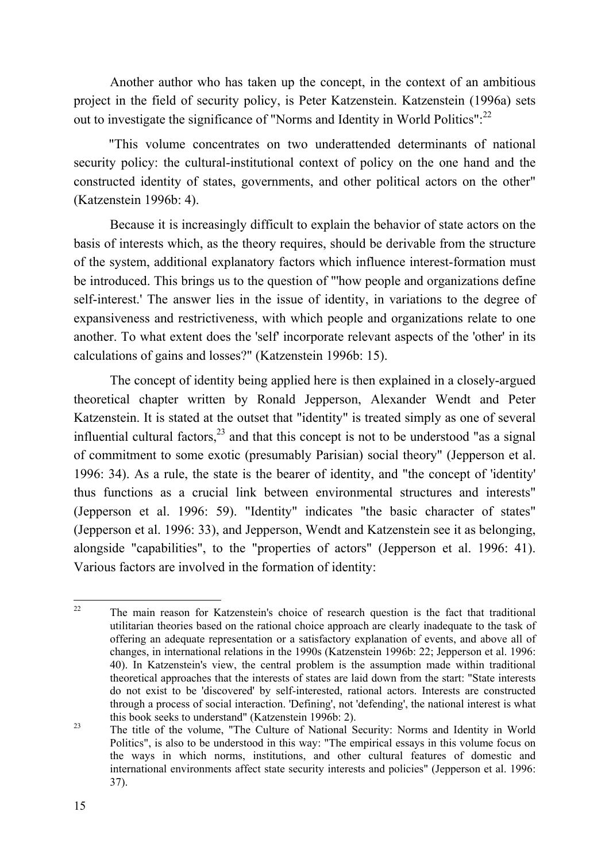Another author who has taken up the concept, in the context of an ambitious project in the field of security policy, is Peter Katzenstein. Katzenstein (1996a) sets out to investigate the significance of "Norms and Identity in World Politics":<sup>22</sup>

"This volume concentrates on two underattended determinants of national security policy: the cultural-institutional context of policy on the one hand and the constructed identity of states, governments, and other political actors on the other" (Katzenstein 1996b: 4).

Because it is increasingly difficult to explain the behavior of state actors on the basis of interests which, as the theory requires, should be derivable from the structure of the system, additional explanatory factors which influence interest-formation must be introduced. This brings us to the question of "'how people and organizations define self-interest.' The answer lies in the issue of identity, in variations to the degree of expansiveness and restrictiveness, with which people and organizations relate to one another. To what extent does the 'self' incorporate relevant aspects of the 'other' in its calculations of gains and losses?" (Katzenstein 1996b: 15).

The concept of identity being applied here is then explained in a closely-argued theoretical chapter written by Ronald Jepperson, Alexander Wendt and Peter Katzenstein. It is stated at the outset that "identity" is treated simply as one of several influential cultural factors, $^{23}$  and that this concept is not to be understood "as a signal of commitment to some exotic (presumably Parisian) social theory" (Jepperson et al. 1996: 34). As a rule, the state is the bearer of identity, and "the concept of 'identity' thus functions as a crucial link between environmental structures and interests" (Jepperson et al. 1996: 59). "Identity" indicates "the basic character of states" (Jepperson et al. 1996: 33), and Jepperson, Wendt and Katzenstein see it as belonging, alongside "capabilities", to the "properties of actors" (Jepperson et al. 1996: 41). Various factors are involved in the formation of identity:

 $22$  The main reason for Katzenstein's choice of research question is the fact that traditional utilitarian theories based on the rational choice approach are clearly inadequate to the task of offering an adequate representation or a satisfactory explanation of events, and above all of changes, in international relations in the 1990s (Katzenstein 1996b: 22; Jepperson et al. 1996: 40). In Katzenstein's view, the central problem is the assumption made within traditional theoretical approaches that the interests of states are laid down from the start: "State interests do not exist to be 'discovered' by self-interested, rational actors. Interests are constructed through a process of social interaction. 'Defining', not 'defending', the national interest is what this book seeks to understand" (Katzenstein 1996b: 2).

<sup>&</sup>lt;sup>23</sup> The title of the volume, "The Culture of National Security: Norms and Identity in World Politics", is also to be understood in this way: "The empirical essays in this volume focus on the ways in which norms, institutions, and other cultural features of domestic and international environments affect state security interests and policies" (Jepperson et al. 1996: 37).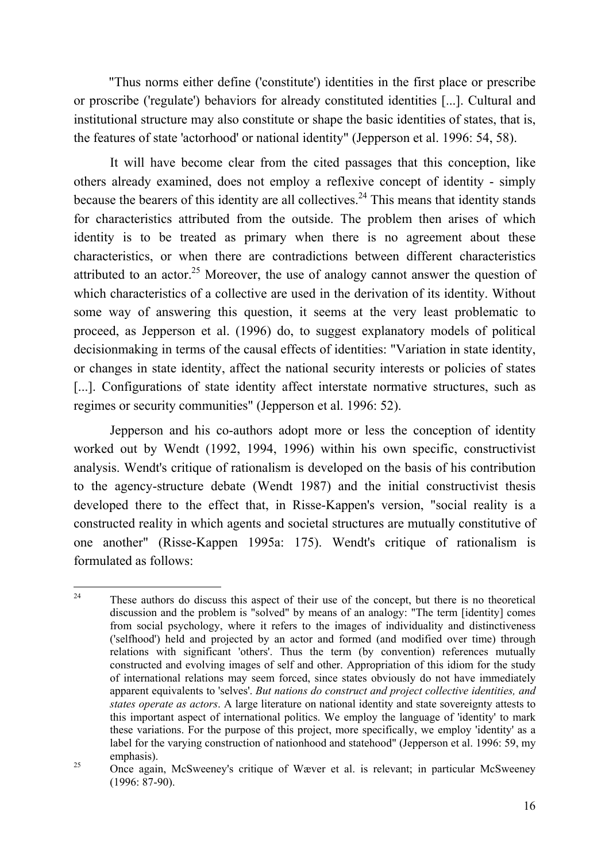"Thus norms either define ('constitute') identities in the first place or prescribe or proscribe ('regulate') behaviors for already constituted identities [...]. Cultural and institutional structure may also constitute or shape the basic identities of states, that is, the features of state 'actorhood' or national identity" (Jepperson et al. 1996: 54, 58).

It will have become clear from the cited passages that this conception, like others already examined, does not employ a reflexive concept of identity - simply because the bearers of this identity are all collectives.<sup>24</sup> This means that identity stands for characteristics attributed from the outside. The problem then arises of which identity is to be treated as primary when there is no agreement about these characteristics, or when there are contradictions between different characteristics attributed to an actor.<sup>25</sup> Moreover, the use of analogy cannot answer the question of which characteristics of a collective are used in the derivation of its identity. Without some way of answering this question, it seems at the very least problematic to proceed, as Jepperson et al. (1996) do, to suggest explanatory models of political decisionmaking in terms of the causal effects of identities: "Variation in state identity, or changes in state identity, affect the national security interests or policies of states [...]. Configurations of state identity affect interstate normative structures, such as regimes or security communities" (Jepperson et al. 1996: 52).

Jepperson and his co-authors adopt more or less the conception of identity worked out by Wendt (1992, 1994, 1996) within his own specific, constructivist analysis. Wendt's critique of rationalism is developed on the basis of his contribution to the agency-structure debate (Wendt 1987) and the initial constructivist thesis developed there to the effect that, in Risse-Kappen's version, "social reality is a constructed reality in which agents and societal structures are mutually constitutive of one another" (Risse-Kappen 1995a: 175). Wendt's critique of rationalism is formulated as follows:

<sup>&</sup>lt;sup>24</sup> These authors do discuss this aspect of their use of the concept, but there is no theoretical discussion and the problem is "solved" by means of an analogy: "The term [identity] comes from social psychology, where it refers to the images of individuality and distinctiveness ('selfhood') held and projected by an actor and formed (and modified over time) through relations with significant 'others'. Thus the term (by convention) references mutually constructed and evolving images of self and other. Appropriation of this idiom for the study of international relations may seem forced, since states obviously do not have immediately apparent equivalents to 'selves'. *But nations do construct and project collective identities, and states operate as actors*. A large literature on national identity and state sovereignty attests to this important aspect of international politics. We employ the language of 'identity' to mark these variations. For the purpose of this project, more specifically, we employ 'identity' as a label for the varying construction of nationhood and statehood" (Jepperson et al. 1996: 59, my emphasis).

<sup>&</sup>lt;sup>25</sup> Once again, McSweeney's critique of Wæver et al. is relevant; in particular McSweeney (1996: 87-90).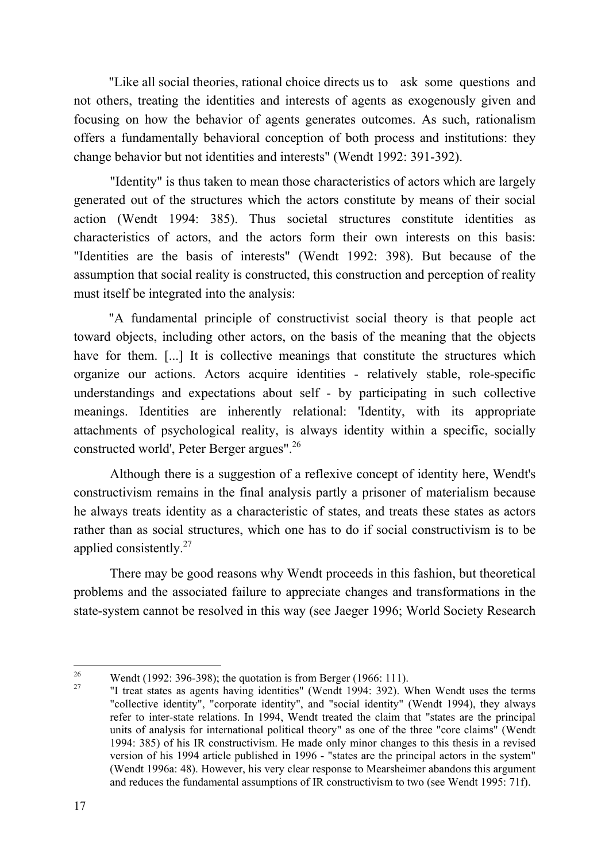"Like all social theories, rational choice directs us to ask some questions and not others, treating the identities and interests of agents as exogenously given and focusing on how the behavior of agents generates outcomes. As such, rationalism offers a fundamentally behavioral conception of both process and institutions: they change behavior but not identities and interests" (Wendt 1992: 391-392).

"Identity" is thus taken to mean those characteristics of actors which are largely generated out of the structures which the actors constitute by means of their social action (Wendt 1994: 385). Thus societal structures constitute identities as characteristics of actors, and the actors form their own interests on this basis: "Identities are the basis of interests" (Wendt 1992: 398). But because of the assumption that social reality is constructed, this construction and perception of reality must itself be integrated into the analysis:

"A fundamental principle of constructivist social theory is that people act toward objects, including other actors, on the basis of the meaning that the objects have for them. [...] It is collective meanings that constitute the structures which organize our actions. Actors acquire identities - relatively stable, role-specific understandings and expectations about self - by participating in such collective meanings. Identities are inherently relational: 'Identity, with its appropriate attachments of psychological reality, is always identity within a specific, socially constructed world', Peter Berger argues".<sup>26</sup>

Although there is a suggestion of a reflexive concept of identity here, Wendt's constructivism remains in the final analysis partly a prisoner of materialism because he always treats identity as a characteristic of states, and treats these states as actors rather than as social structures, which one has to do if social constructivism is to be applied consistently.<sup>27</sup>

There may be good reasons why Wendt proceeds in this fashion, but theoretical problems and the associated failure to appreciate changes and transformations in the state-system cannot be resolved in this way (see Jaeger 1996; World Society Research

<sup>&</sup>lt;sup>26</sup> Wendt (1992: 396-398); the quotation is from Berger (1966: 111).

<sup>27</sup> "I treat states as agents having identities" (Wendt 1994: 392). When Wendt uses the terms "collective identity", "corporate identity", and "social identity" (Wendt 1994), they always refer to inter-state relations. In 1994, Wendt treated the claim that "states are the principal units of analysis for international political theory" as one of the three "core claims" (Wendt 1994: 385) of his IR constructivism. He made only minor changes to this thesis in a revised version of his 1994 article published in 1996 - "states are the principal actors in the system" (Wendt 1996a: 48). However, his very clear response to Mearsheimer abandons this argument and reduces the fundamental assumptions of IR constructivism to two (see Wendt 1995: 71f).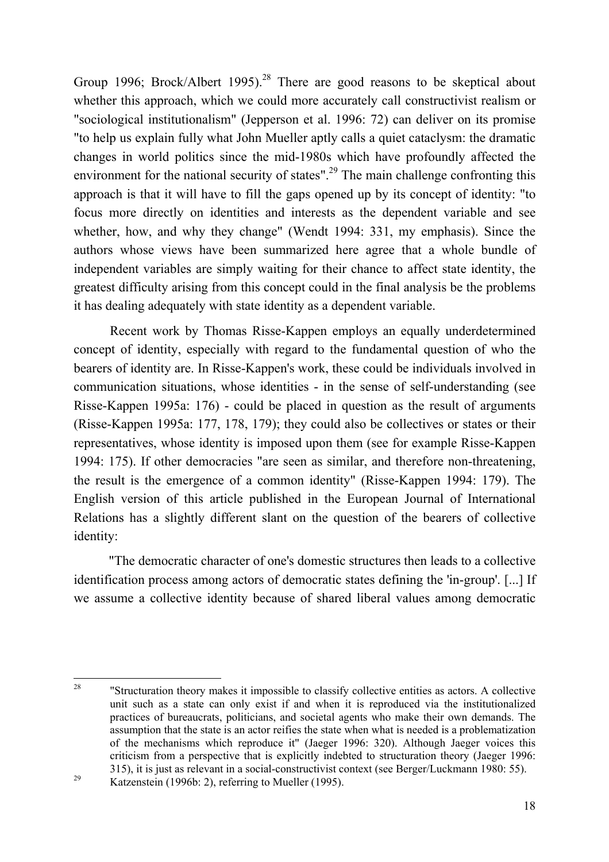Group 1996; Brock/Albert 1995).<sup>28</sup> There are good reasons to be skeptical about whether this approach, which we could more accurately call constructivist realism or "sociological institutionalism" (Jepperson et al. 1996: 72) can deliver on its promise "to help us explain fully what John Mueller aptly calls a quiet cataclysm: the dramatic changes in world politics since the mid-1980s which have profoundly affected the environment for the national security of states".<sup>29</sup> The main challenge confronting this approach is that it will have to fill the gaps opened up by its concept of identity: "to focus more directly on identities and interests as the dependent variable and see whether, how, and why they change" (Wendt 1994: 331, my emphasis). Since the authors whose views have been summarized here agree that a whole bundle of independent variables are simply waiting for their chance to affect state identity, the greatest difficulty arising from this concept could in the final analysis be the problems it has dealing adequately with state identity as a dependent variable.

Recent work by Thomas Risse-Kappen employs an equally underdetermined concept of identity, especially with regard to the fundamental question of who the bearers of identity are. In Risse-Kappen's work, these could be individuals involved in communication situations, whose identities - in the sense of self-understanding (see Risse-Kappen 1995a: 176) - could be placed in question as the result of arguments (Risse-Kappen 1995a: 177, 178, 179); they could also be collectives or states or their representatives, whose identity is imposed upon them (see for example Risse-Kappen 1994: 175). If other democracies "are seen as similar, and therefore non-threatening, the result is the emergence of a common identity" (Risse-Kappen 1994: 179). The English version of this article published in the European Journal of International Relations has a slightly different slant on the question of the bearers of collective identity:

"The democratic character of one's domestic structures then leads to a collective identification process among actors of democratic states defining the 'in-group'. [...] If we assume a collective identity because of shared liberal values among democratic

28 "Structuration theory makes it impossible to classify collective entities as actors. A collective unit such as a state can only exist if and when it is reproduced via the institutionalized practices of bureaucrats, politicians, and societal agents who make their own demands. The assumption that the state is an actor reifies the state when what is needed is a problematization of the mechanisms which reproduce it" (Jaeger 1996: 320). Although Jaeger voices this criticism from a perspective that is explicitly indebted to structuration theory (Jaeger 1996: 315), it is just as relevant in a social-constructivist context (see Berger/Luckmann 1980: 55).

 $\frac{29}{2}$  Katzenstein (1996b: 2), referring to Mueller (1995).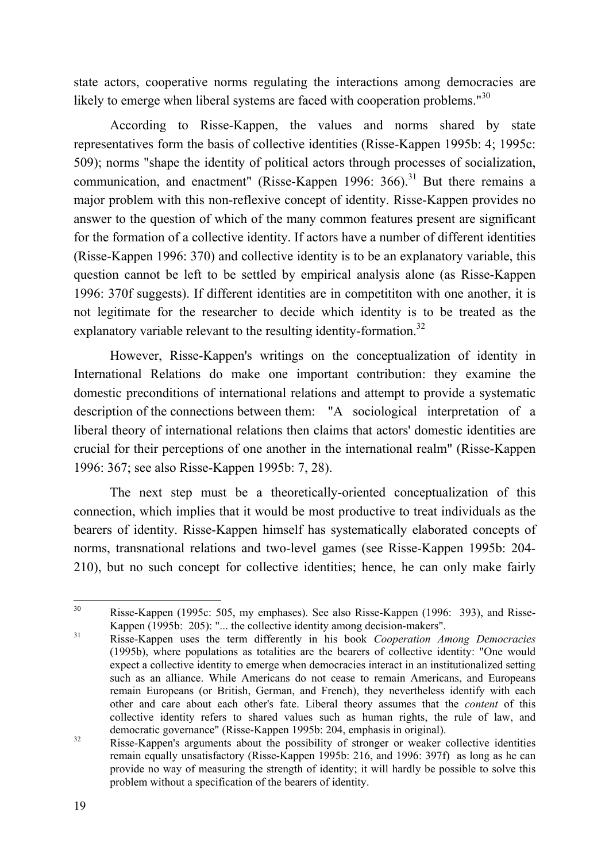state actors, cooperative norms regulating the interactions among democracies are likely to emerge when liberal systems are faced with cooperation problems."<sup>30</sup>

According to Risse-Kappen, the values and norms shared by state representatives form the basis of collective identities (Risse-Kappen 1995b: 4; 1995c: 509); norms "shape the identity of political actors through processes of socialization, communication, and enactment" (Risse-Kappen 1996: 366).<sup>31</sup> But there remains a major problem with this non-reflexive concept of identity. Risse-Kappen provides no answer to the question of which of the many common features present are significant for the formation of a collective identity. If actors have a number of different identities (Risse-Kappen 1996: 370) and collective identity is to be an explanatory variable, this question cannot be left to be settled by empirical analysis alone (as Risse-Kappen 1996: 370f suggests). If different identities are in competititon with one another, it is not legitimate for the researcher to decide which identity is to be treated as the explanatory variable relevant to the resulting identity-formation.<sup>32</sup>

However, Risse-Kappen's writings on the conceptualization of identity in International Relations do make one important contribution: they examine the domestic preconditions of international relations and attempt to provide a systematic description of the connections between them: "A sociological interpretation of a liberal theory of international relations then claims that actors' domestic identities are crucial for their perceptions of one another in the international realm" (Risse-Kappen 1996: 367; see also Risse-Kappen 1995b: 7, 28).

The next step must be a theoretically-oriented conceptualization of this connection, which implies that it would be most productive to treat individuals as the bearers of identity. Risse-Kappen himself has systematically elaborated concepts of norms, transnational relations and two-level games (see Risse-Kappen 1995b: 204- 210), but no such concept for collective identities; hence, he can only make fairly

<sup>30</sup> Risse-Kappen (1995c: 505, my emphases). See also Risse-Kappen (1996: 393), and Risse-Kappen (1995b: 205): "... the collective identity among decision-makers".

<sup>31</sup> Risse-Kappen uses the term differently in his book *Cooperation Among Democracies* (1995b), where populations as totalities are the bearers of collective identity: "One would expect a collective identity to emerge when democracies interact in an institutionalized setting such as an alliance. While Americans do not cease to remain Americans, and Europeans remain Europeans (or British, German, and French), they nevertheless identify with each other and care about each other's fate. Liberal theory assumes that the *content* of this collective identity refers to shared values such as human rights, the rule of law, and democratic governance" (Risse-Kappen 1995b: 204, emphasis in original).

<sup>&</sup>lt;sup>32</sup> Risse-Kappen's arguments about the possibility of stronger or weaker collective identities remain equally unsatisfactory (Risse-Kappen 1995b: 216, and 1996: 397f) as long as he can provide no way of measuring the strength of identity; it will hardly be possible to solve this problem without a specification of the bearers of identity.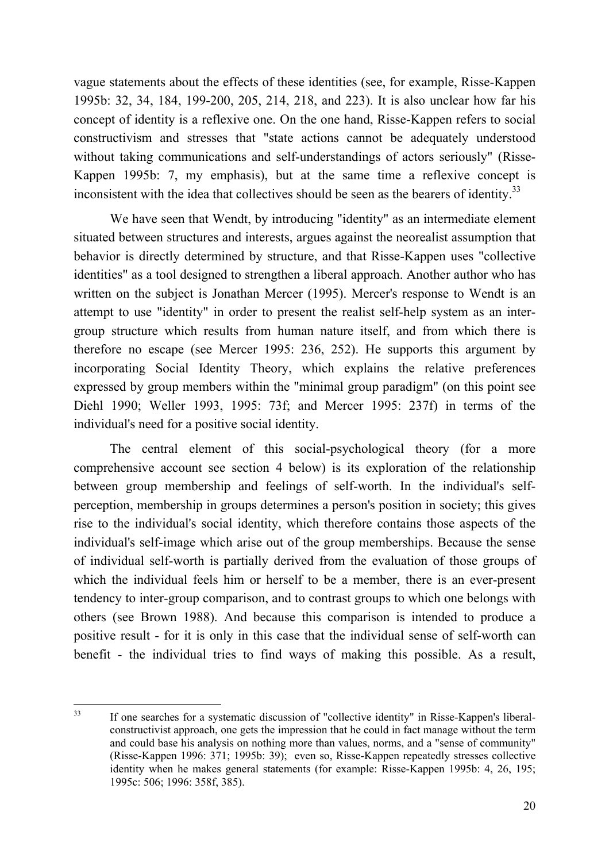vague statements about the effects of these identities (see, for example, Risse-Kappen 1995b: 32, 34, 184, 199-200, 205, 214, 218, and 223). It is also unclear how far his concept of identity is a reflexive one. On the one hand, Risse-Kappen refers to social constructivism and stresses that "state actions cannot be adequately understood without taking communications and self-understandings of actors seriously" (Risse-Kappen 1995b: 7, my emphasis), but at the same time a reflexive concept is inconsistent with the idea that collectives should be seen as the bearers of identity.<sup>33</sup>

We have seen that Wendt, by introducing "identity" as an intermediate element situated between structures and interests, argues against the neorealist assumption that behavior is directly determined by structure, and that Risse-Kappen uses "collective identities" as a tool designed to strengthen a liberal approach. Another author who has written on the subject is Jonathan Mercer (1995). Mercer's response to Wendt is an attempt to use "identity" in order to present the realist self-help system as an intergroup structure which results from human nature itself, and from which there is therefore no escape (see Mercer 1995: 236, 252). He supports this argument by incorporating Social Identity Theory, which explains the relative preferences expressed by group members within the "minimal group paradigm" (on this point see Diehl 1990; Weller 1993, 1995: 73f; and Mercer 1995: 237f) in terms of the individual's need for a positive social identity.

The central element of this social-psychological theory (for a more comprehensive account see section 4 below) is its exploration of the relationship between group membership and feelings of self-worth. In the individual's selfperception, membership in groups determines a person's position in society; this gives rise to the individual's social identity, which therefore contains those aspects of the individual's self-image which arise out of the group memberships. Because the sense of individual self-worth is partially derived from the evaluation of those groups of which the individual feels him or herself to be a member, there is an ever-present tendency to inter-group comparison, and to contrast groups to which one belongs with others (see Brown 1988). And because this comparison is intended to produce a positive result - for it is only in this case that the individual sense of self-worth can benefit - the individual tries to find ways of making this possible. As a result,

<sup>33</sup> If one searches for a systematic discussion of "collective identity" in Risse-Kappen's liberalconstructivist approach, one gets the impression that he could in fact manage without the term and could base his analysis on nothing more than values, norms, and a "sense of community" (Risse-Kappen 1996: 371; 1995b: 39); even so, Risse-Kappen repeatedly stresses collective identity when he makes general statements (for example: Risse-Kappen 1995b: 4, 26, 195; 1995c: 506; 1996: 358f, 385).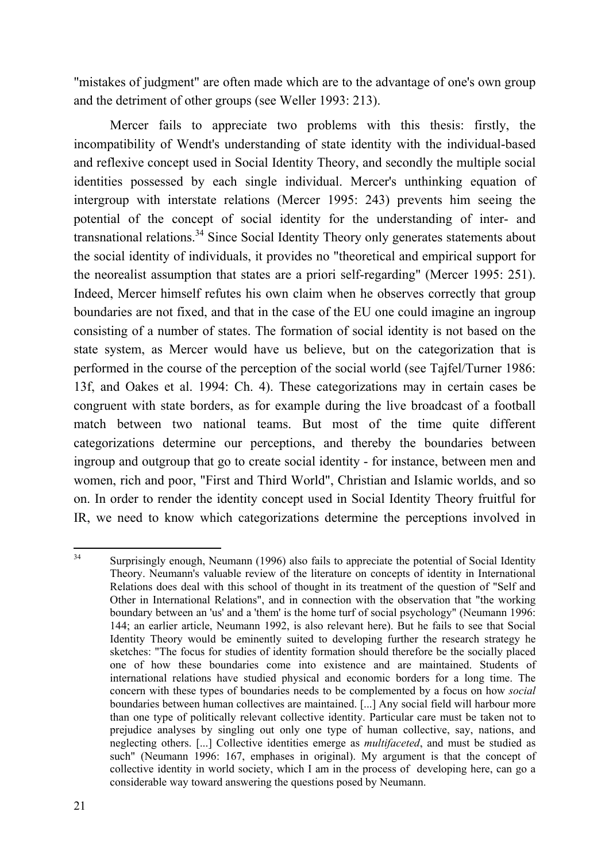"mistakes of judgment" are often made which are to the advantage of one's own group and the detriment of other groups (see Weller 1993: 213).

Mercer fails to appreciate two problems with this thesis: firstly, the incompatibility of Wendt's understanding of state identity with the individual-based and reflexive concept used in Social Identity Theory, and secondly the multiple social identities possessed by each single individual. Mercer's unthinking equation of intergroup with interstate relations (Mercer 1995: 243) prevents him seeing the potential of the concept of social identity for the understanding of inter- and transnational relations.<sup>34</sup> Since Social Identity Theory only generates statements about the social identity of individuals, it provides no "theoretical and empirical support for the neorealist assumption that states are a priori self-regarding" (Mercer 1995: 251). Indeed, Mercer himself refutes his own claim when he observes correctly that group boundaries are not fixed, and that in the case of the EU one could imagine an ingroup consisting of a number of states. The formation of social identity is not based on the state system, as Mercer would have us believe, but on the categorization that is performed in the course of the perception of the social world (see Tajfel/Turner 1986: 13f, and Oakes et al. 1994: Ch. 4). These categorizations may in certain cases be congruent with state borders, as for example during the live broadcast of a football match between two national teams. But most of the time quite different categorizations determine our perceptions, and thereby the boundaries between ingroup and outgroup that go to create social identity - for instance, between men and women, rich and poor, "First and Third World", Christian and Islamic worlds, and so on. In order to render the identity concept used in Social Identity Theory fruitful for IR, we need to know which categorizations determine the perceptions involved in

<sup>34</sup> Surprisingly enough, Neumann (1996) also fails to appreciate the potential of Social Identity Theory. Neumann's valuable review of the literature on concepts of identity in International Relations does deal with this school of thought in its treatment of the question of "Self and Other in International Relations", and in connection with the observation that "the working boundary between an 'us' and a 'them' is the home turf of social psychology" (Neumann 1996: 144; an earlier article, Neumann 1992, is also relevant here). But he fails to see that Social Identity Theory would be eminently suited to developing further the research strategy he sketches: "The focus for studies of identity formation should therefore be the socially placed one of how these boundaries come into existence and are maintained. Students of international relations have studied physical and economic borders for a long time. The concern with these types of boundaries needs to be complemented by a focus on how *social* boundaries between human collectives are maintained. [...] Any social field will harbour more than one type of politically relevant collective identity. Particular care must be taken not to prejudice analyses by singling out only one type of human collective, say, nations, and neglecting others. [...] Collective identities emerge as *multifaceted*, and must be studied as such" (Neumann 1996: 167, emphases in original). My argument is that the concept of collective identity in world society, which I am in the process of developing here, can go a considerable way toward answering the questions posed by Neumann.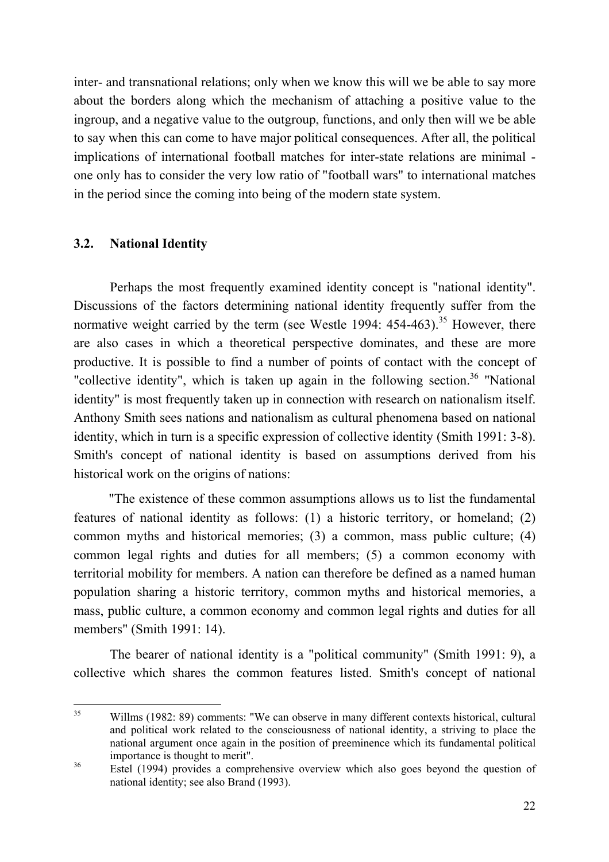inter- and transnational relations; only when we know this will we be able to say more about the borders along which the mechanism of attaching a positive value to the ingroup, and a negative value to the outgroup, functions, and only then will we be able to say when this can come to have major political consequences. After all, the political implications of international football matches for inter-state relations are minimal one only has to consider the very low ratio of "football wars" to international matches in the period since the coming into being of the modern state system.

#### **3.2. National Identity**

Perhaps the most frequently examined identity concept is "national identity". Discussions of the factors determining national identity frequently suffer from the normative weight carried by the term (see Westle 1994: 454-463).<sup>35</sup> However, there are also cases in which a theoretical perspective dominates, and these are more productive. It is possible to find a number of points of contact with the concept of "collective identity", which is taken up again in the following section.<sup>36</sup> "National identity" is most frequently taken up in connection with research on nationalism itself. Anthony Smith sees nations and nationalism as cultural phenomena based on national identity, which in turn is a specific expression of collective identity (Smith 1991: 3-8). Smith's concept of national identity is based on assumptions derived from his historical work on the origins of nations:

"The existence of these common assumptions allows us to list the fundamental features of national identity as follows: (1) a historic territory, or homeland; (2) common myths and historical memories; (3) a common, mass public culture; (4) common legal rights and duties for all members; (5) a common economy with territorial mobility for members. A nation can therefore be defined as a named human population sharing a historic territory, common myths and historical memories, a mass, public culture, a common economy and common legal rights and duties for all members" (Smith 1991: 14).

The bearer of national identity is a "political community" (Smith 1991: 9), a collective which shares the common features listed. Smith's concept of national

<sup>&</sup>lt;sup>35</sup> Willms (1982: 89) comments: "We can observe in many different contexts historical, cultural and political work related to the consciousness of national identity, a striving to place the national argument once again in the position of preeminence which its fundamental political importance is thought to merit".

<sup>&</sup>lt;sup>36</sup> Estel (1994) provides a comprehensive overview which also goes beyond the question of national identity; see also Brand (1993).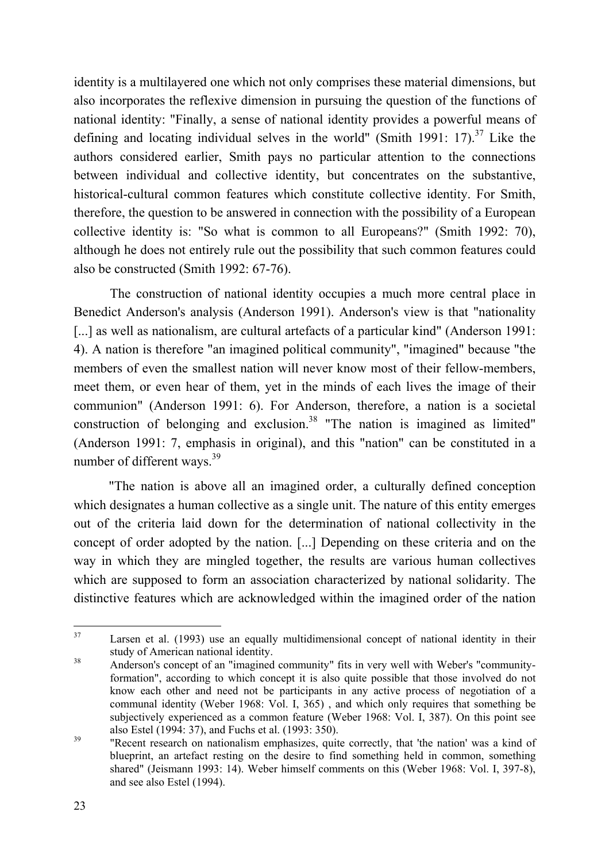identity is a multilayered one which not only comprises these material dimensions, but also incorporates the reflexive dimension in pursuing the question of the functions of national identity: "Finally, a sense of national identity provides a powerful means of defining and locating individual selves in the world" (Smith 1991: 17).<sup>37</sup> Like the authors considered earlier, Smith pays no particular attention to the connections between individual and collective identity, but concentrates on the substantive, historical-cultural common features which constitute collective identity. For Smith, therefore, the question to be answered in connection with the possibility of a European collective identity is: "So what is common to all Europeans?" (Smith 1992: 70), although he does not entirely rule out the possibility that such common features could also be constructed (Smith 1992: 67-76).

The construction of national identity occupies a much more central place in Benedict Anderson's analysis (Anderson 1991). Anderson's view is that "nationality [...] as well as nationalism, are cultural artefacts of a particular kind" (Anderson 1991: 4). A nation is therefore "an imagined political community", "imagined" because "the members of even the smallest nation will never know most of their fellow-members, meet them, or even hear of them, yet in the minds of each lives the image of their communion" (Anderson 1991: 6). For Anderson, therefore, a nation is a societal construction of belonging and exclusion. 38 "The nation is imagined as limited" (Anderson 1991: 7, emphasis in original), and this "nation" can be constituted in a number of different ways.<sup>39</sup>

"The nation is above all an imagined order, a culturally defined conception which designates a human collective as a single unit. The nature of this entity emerges out of the criteria laid down for the determination of national collectivity in the concept of order adopted by the nation. [...] Depending on these criteria and on the way in which they are mingled together, the results are various human collectives which are supposed to form an association characterized by national solidarity. The distinctive features which are acknowledged within the imagined order of the nation

<sup>&</sup>lt;sup>37</sup> Larsen et al. (1993) use an equally multidimensional concept of national identity in their study of American national identity.

<sup>&</sup>lt;sup>38</sup> Anderson's concept of an "imagined community" fits in very well with Weber's "communityformation", according to which concept it is also quite possible that those involved do not know each other and need not be participants in any active process of negotiation of a communal identity (Weber 1968: Vol. I, 365) , and which only requires that something be subjectively experienced as a common feature (Weber 1968: Vol. I, 387). On this point see also Estel (1994: 37), and Fuchs et al. (1993: 350).

<sup>39</sup> "Recent research on nationalism emphasizes, quite correctly, that 'the nation' was a kind of blueprint, an artefact resting on the desire to find something held in common, something shared" (Jeismann 1993: 14). Weber himself comments on this (Weber 1968: Vol. I, 397-8), and see also Estel (1994).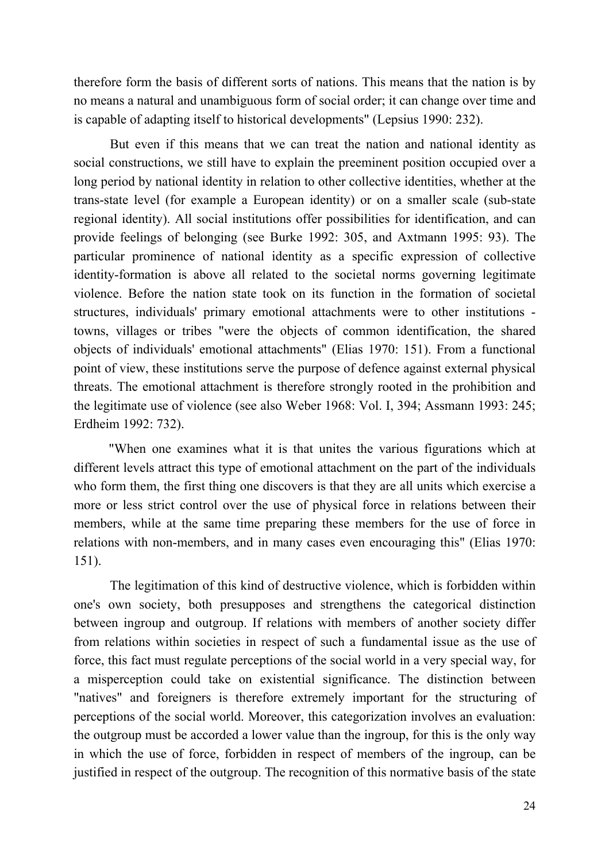therefore form the basis of different sorts of nations. This means that the nation is by no means a natural and unambiguous form of social order; it can change over time and is capable of adapting itself to historical developments" (Lepsius 1990: 232).

But even if this means that we can treat the nation and national identity as social constructions, we still have to explain the preeminent position occupied over a long period by national identity in relation to other collective identities, whether at the trans-state level (for example a European identity) or on a smaller scale (sub-state regional identity). All social institutions offer possibilities for identification, and can provide feelings of belonging (see Burke 1992: 305, and Axtmann 1995: 93). The particular prominence of national identity as a specific expression of collective identity-formation is above all related to the societal norms governing legitimate violence. Before the nation state took on its function in the formation of societal structures, individuals' primary emotional attachments were to other institutions towns, villages or tribes "were the objects of common identification, the shared objects of individuals' emotional attachments" (Elias 1970: 151). From a functional point of view, these institutions serve the purpose of defence against external physical threats. The emotional attachment is therefore strongly rooted in the prohibition and the legitimate use of violence (see also Weber 1968: Vol. I, 394; Assmann 1993: 245; Erdheim 1992: 732).

"When one examines what it is that unites the various figurations which at different levels attract this type of emotional attachment on the part of the individuals who form them, the first thing one discovers is that they are all units which exercise a more or less strict control over the use of physical force in relations between their members, while at the same time preparing these members for the use of force in relations with non-members, and in many cases even encouraging this" (Elias 1970: 151).

The legitimation of this kind of destructive violence, which is forbidden within one's own society, both presupposes and strengthens the categorical distinction between ingroup and outgroup. If relations with members of another society differ from relations within societies in respect of such a fundamental issue as the use of force, this fact must regulate perceptions of the social world in a very special way, for a misperception could take on existential significance. The distinction between "natives" and foreigners is therefore extremely important for the structuring of perceptions of the social world. Moreover, this categorization involves an evaluation: the outgroup must be accorded a lower value than the ingroup, for this is the only way in which the use of force, forbidden in respect of members of the ingroup, can be justified in respect of the outgroup. The recognition of this normative basis of the state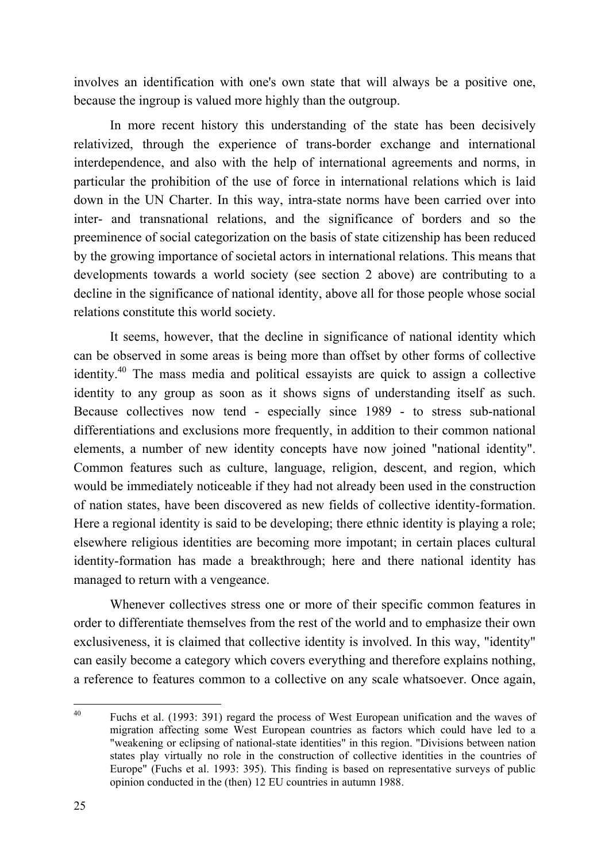involves an identification with one's own state that will always be a positive one, because the ingroup is valued more highly than the outgroup.

In more recent history this understanding of the state has been decisively relativized, through the experience of trans-border exchange and international interdependence, and also with the help of international agreements and norms, in particular the prohibition of the use of force in international relations which is laid down in the UN Charter. In this way, intra-state norms have been carried over into inter- and transnational relations, and the significance of borders and so the preeminence of social categorization on the basis of state citizenship has been reduced by the growing importance of societal actors in international relations. This means that developments towards a world society (see section 2 above) are contributing to a decline in the significance of national identity, above all for those people whose social relations constitute this world society.

It seems, however, that the decline in significance of national identity which can be observed in some areas is being more than offset by other forms of collective identity.<sup>40</sup> The mass media and political essayists are quick to assign a collective identity to any group as soon as it shows signs of understanding itself as such. Because collectives now tend - especially since 1989 - to stress sub-national differentiations and exclusions more frequently, in addition to their common national elements, a number of new identity concepts have now joined "national identity". Common features such as culture, language, religion, descent, and region, which would be immediately noticeable if they had not already been used in the construction of nation states, have been discovered as new fields of collective identity-formation. Here a regional identity is said to be developing; there ethnic identity is playing a role; elsewhere religious identities are becoming more impotant; in certain places cultural identity-formation has made a breakthrough; here and there national identity has managed to return with a vengeance.

Whenever collectives stress one or more of their specific common features in order to differentiate themselves from the rest of the world and to emphasize their own exclusiveness, it is claimed that collective identity is involved. In this way, "identity" can easily become a category which covers everything and therefore explains nothing, a reference to features common to a collective on any scale whatsoever. Once again,

<sup>40</sup> Fuchs et al. (1993: 391) regard the process of West European unification and the waves of migration affecting some West European countries as factors which could have led to a "weakening or eclipsing of national-state identities" in this region. "Divisions between nation states play virtually no role in the construction of collective identities in the countries of Europe" (Fuchs et al. 1993: 395). This finding is based on representative surveys of public opinion conducted in the (then) 12 EU countries in autumn 1988.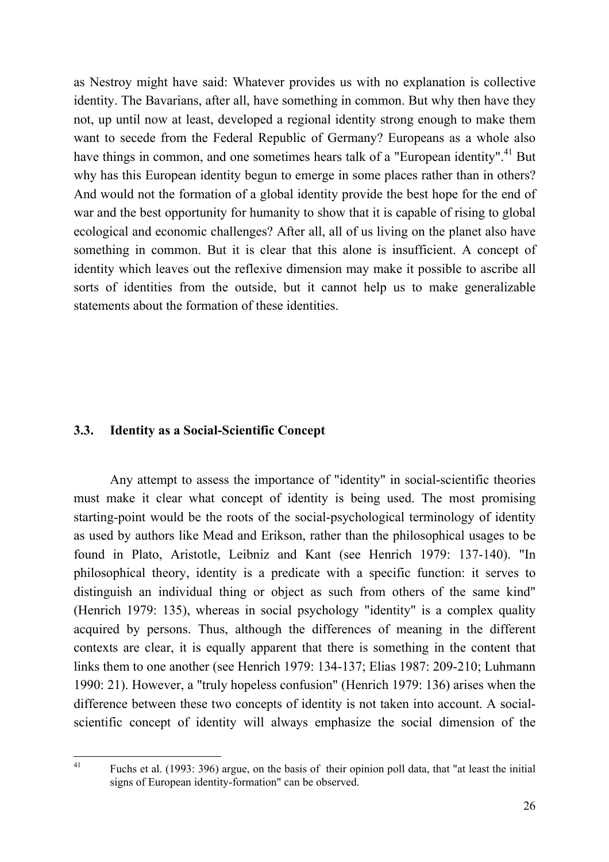as Nestroy might have said: Whatever provides us with no explanation is collective identity. The Bavarians, after all, have something in common. But why then have they not, up until now at least, developed a regional identity strong enough to make them want to secede from the Federal Republic of Germany? Europeans as a whole also have things in common, and one sometimes hears talk of a "European identity".<sup>41</sup> But why has this European identity begun to emerge in some places rather than in others? And would not the formation of a global identity provide the best hope for the end of war and the best opportunity for humanity to show that it is capable of rising to global ecological and economic challenges? After all, all of us living on the planet also have something in common. But it is clear that this alone is insufficient. A concept of identity which leaves out the reflexive dimension may make it possible to ascribe all sorts of identities from the outside, but it cannot help us to make generalizable statements about the formation of these identities.

#### **3.3. Identity as a Social-Scientific Concept**

Any attempt to assess the importance of "identity" in social-scientific theories must make it clear what concept of identity is being used. The most promising starting-point would be the roots of the social-psychological terminology of identity as used by authors like Mead and Erikson, rather than the philosophical usages to be found in Plato, Aristotle, Leibniz and Kant (see Henrich 1979: 137-140). "In philosophical theory, identity is a predicate with a specific function: it serves to distinguish an individual thing or object as such from others of the same kind" (Henrich 1979: 135), whereas in social psychology "identity" is a complex quality acquired by persons. Thus, although the differences of meaning in the different contexts are clear, it is equally apparent that there is something in the content that links them to one another (see Henrich 1979: 134-137; Elias 1987: 209-210; Luhmann 1990: 21). However, a "truly hopeless confusion" (Henrich 1979: 136) arises when the difference between these two concepts of identity is not taken into account. A socialscientific concept of identity will always emphasize the social dimension of the

41

Fuchs et al. (1993: 396) argue, on the basis of their opinion poll data, that "at least the initial signs of European identity-formation" can be observed.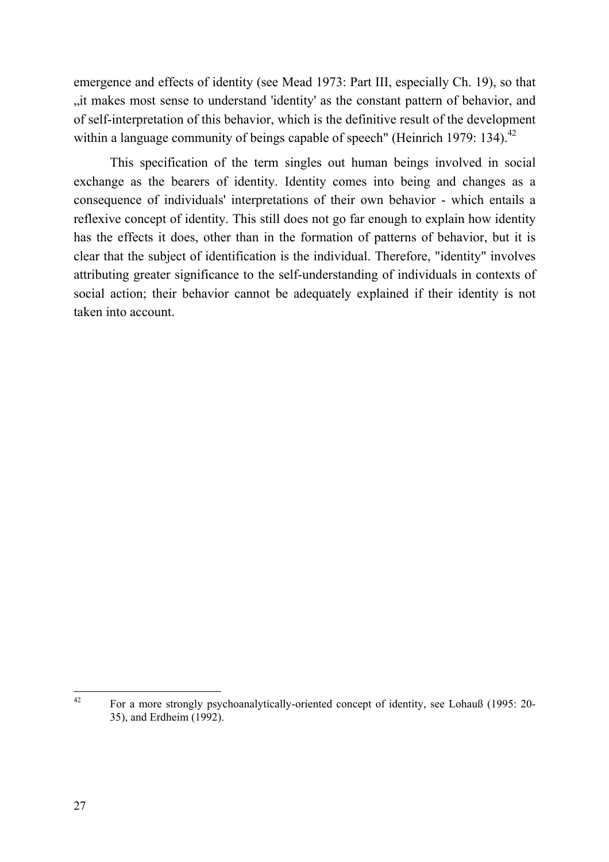emergence and effects of identity (see Mead 1973: Part III, especially Ch. 19), so that "it makes most sense to understand 'identity' as the constant pattern of behavior, and of self-interpretation of this behavior, which is the definitive result of the development within a language community of beings capable of speech" (Heinrich 1979: 134).<sup>42</sup>

This specification of the term singles out human beings involved in social exchange as the bearers of identity. Identity comes into being and changes as a consequence of individuals' interpretations of their own behavior - which entails a reflexive concept of identity. This still does not go far enough to explain how identity has the effects it does, other than in the formation of patterns of behavior, but it is clear that the subject of identification is the individual. Therefore, "identity" involves attributing greater significance to the self-understanding of individuals in contexts of social action; their behavior cannot be adequately explained if their identity is not taken into account.

<sup>42</sup> For a more strongly psychoanalytically-oriented concept of identity, see Lohauß (1995: 20- 35), and Erdheim (1992).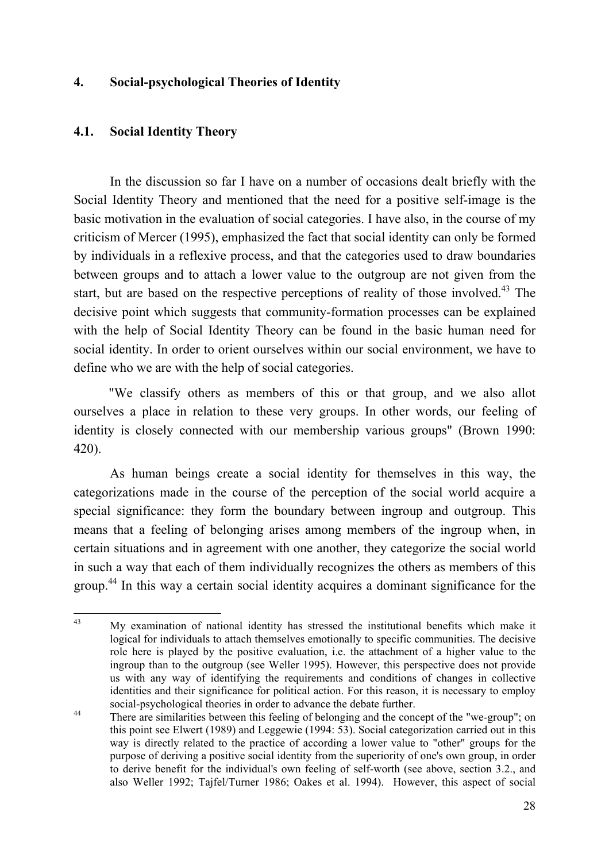#### **4. Social-psychological Theories of Identity**

#### **4.1. Social Identity Theory**

In the discussion so far I have on a number of occasions dealt briefly with the Social Identity Theory and mentioned that the need for a positive self-image is the basic motivation in the evaluation of social categories. I have also, in the course of my criticism of Mercer (1995), emphasized the fact that social identity can only be formed by individuals in a reflexive process, and that the categories used to draw boundaries between groups and to attach a lower value to the outgroup are not given from the start, but are based on the respective perceptions of reality of those involved.<sup>43</sup> The decisive point which suggests that community-formation processes can be explained with the help of Social Identity Theory can be found in the basic human need for social identity. In order to orient ourselves within our social environment, we have to define who we are with the help of social categories.

"We classify others as members of this or that group, and we also allot ourselves a place in relation to these very groups. In other words, our feeling of identity is closely connected with our membership various groups" (Brown 1990: 420).

As human beings create a social identity for themselves in this way, the categorizations made in the course of the perception of the social world acquire a special significance: they form the boundary between ingroup and outgroup. This means that a feeling of belonging arises among members of the ingroup when, in certain situations and in agreement with one another, they categorize the social world in such a way that each of them individually recognizes the others as members of this group.<sup>44</sup> In this way a certain social identity acquires a dominant significance for the

<sup>&</sup>lt;sup>43</sup> My examination of national identity has stressed the institutional benefits which make it logical for individuals to attach themselves emotionally to specific communities. The decisive role here is played by the positive evaluation, i.e. the attachment of a higher value to the ingroup than to the outgroup (see Weller 1995). However, this perspective does not provide us with any way of identifying the requirements and conditions of changes in collective identities and their significance for political action. For this reason, it is necessary to employ social-psychological theories in order to advance the debate further.

<sup>&</sup>lt;sup>44</sup> There are similarities between this feeling of belonging and the concept of the "we-group"; on this point see Elwert (1989) and Leggewie (1994: 53). Social categorization carried out in this way is directly related to the practice of according a lower value to "other" groups for the purpose of deriving a positive social identity from the superiority of one's own group, in order to derive benefit for the individual's own feeling of self-worth (see above, section 3.2., and also Weller 1992; Tajfel/Turner 1986; Oakes et al. 1994). However, this aspect of social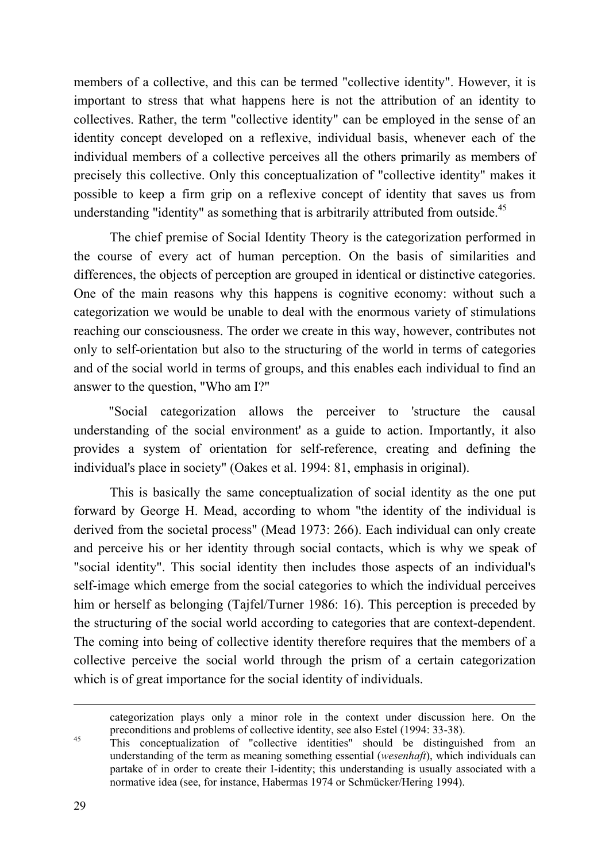members of a collective, and this can be termed "collective identity". However, it is important to stress that what happens here is not the attribution of an identity to collectives. Rather, the term "collective identity" can be employed in the sense of an identity concept developed on a reflexive, individual basis, whenever each of the individual members of a collective perceives all the others primarily as members of precisely this collective. Only this conceptualization of "collective identity" makes it possible to keep a firm grip on a reflexive concept of identity that saves us from understanding "identity" as something that is arbitrarily attributed from outside.<sup>45</sup>

The chief premise of Social Identity Theory is the categorization performed in the course of every act of human perception. On the basis of similarities and differences, the objects of perception are grouped in identical or distinctive categories. One of the main reasons why this happens is cognitive economy: without such a categorization we would be unable to deal with the enormous variety of stimulations reaching our consciousness. The order we create in this way, however, contributes not only to self-orientation but also to the structuring of the world in terms of categories and of the social world in terms of groups, and this enables each individual to find an answer to the question, "Who am I?"

"Social categorization allows the perceiver to 'structure the causal understanding of the social environment' as a guide to action. Importantly, it also provides a system of orientation for self-reference, creating and defining the individual's place in society" (Oakes et al. 1994: 81, emphasis in original).

This is basically the same conceptualization of social identity as the one put forward by George H. Mead, according to whom "the identity of the individual is derived from the societal process" (Mead 1973: 266). Each individual can only create and perceive his or her identity through social contacts, which is why we speak of "social identity". This social identity then includes those aspects of an individual's self-image which emerge from the social categories to which the individual perceives him or herself as belonging (Tajfel/Turner 1986: 16). This perception is preceded by the structuring of the social world according to categories that are context-dependent. The coming into being of collective identity therefore requires that the members of a collective perceive the social world through the prism of a certain categorization which is of great importance for the social identity of individuals.

categorization plays only a minor role in the context under discussion here. On the preconditions and problems of collective identity, see also Estel (1994: 33-38).

<sup>45</sup> This conceptualization of "collective identities" should be distinguished from an understanding of the term as meaning something essential (*wesenhaft*), which individuals can partake of in order to create their I-identity; this understanding is usually associated with a normative idea (see, for instance, Habermas 1974 or Schmücker/Hering 1994).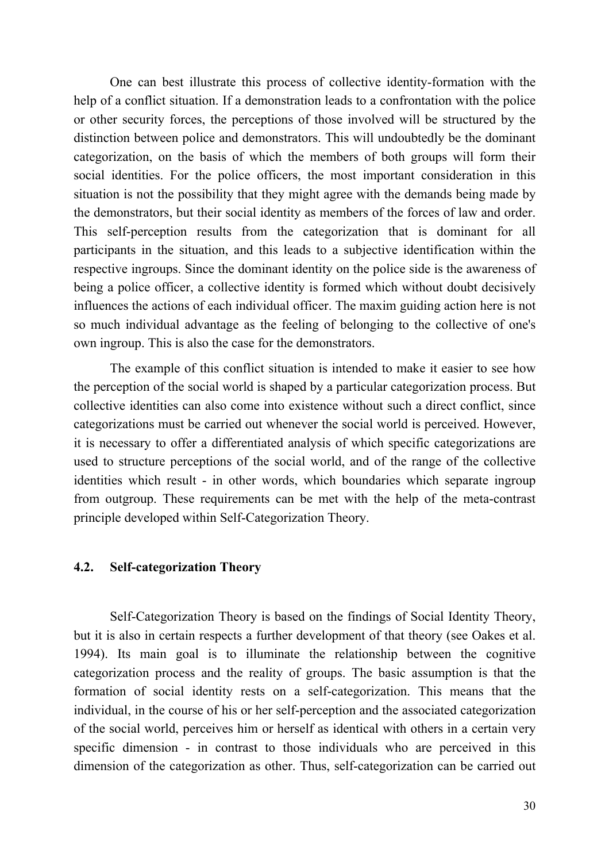One can best illustrate this process of collective identity-formation with the help of a conflict situation. If a demonstration leads to a confrontation with the police or other security forces, the perceptions of those involved will be structured by the distinction between police and demonstrators. This will undoubtedly be the dominant categorization, on the basis of which the members of both groups will form their social identities. For the police officers, the most important consideration in this situation is not the possibility that they might agree with the demands being made by the demonstrators, but their social identity as members of the forces of law and order. This self-perception results from the categorization that is dominant for all participants in the situation, and this leads to a subjective identification within the respective ingroups. Since the dominant identity on the police side is the awareness of being a police officer, a collective identity is formed which without doubt decisively influences the actions of each individual officer. The maxim guiding action here is not so much individual advantage as the feeling of belonging to the collective of one's own ingroup. This is also the case for the demonstrators.

The example of this conflict situation is intended to make it easier to see how the perception of the social world is shaped by a particular categorization process. But collective identities can also come into existence without such a direct conflict, since categorizations must be carried out whenever the social world is perceived. However, it is necessary to offer a differentiated analysis of which specific categorizations are used to structure perceptions of the social world, and of the range of the collective identities which result - in other words, which boundaries which separate ingroup from outgroup. These requirements can be met with the help of the meta-contrast principle developed within Self-Categorization Theory.

#### **4.2. Self-categorization Theory**

Self-Categorization Theory is based on the findings of Social Identity Theory, but it is also in certain respects a further development of that theory (see Oakes et al. 1994). Its main goal is to illuminate the relationship between the cognitive categorization process and the reality of groups. The basic assumption is that the formation of social identity rests on a self-categorization. This means that the individual, in the course of his or her self-perception and the associated categorization of the social world, perceives him or herself as identical with others in a certain very specific dimension - in contrast to those individuals who are perceived in this dimension of the categorization as other. Thus, self-categorization can be carried out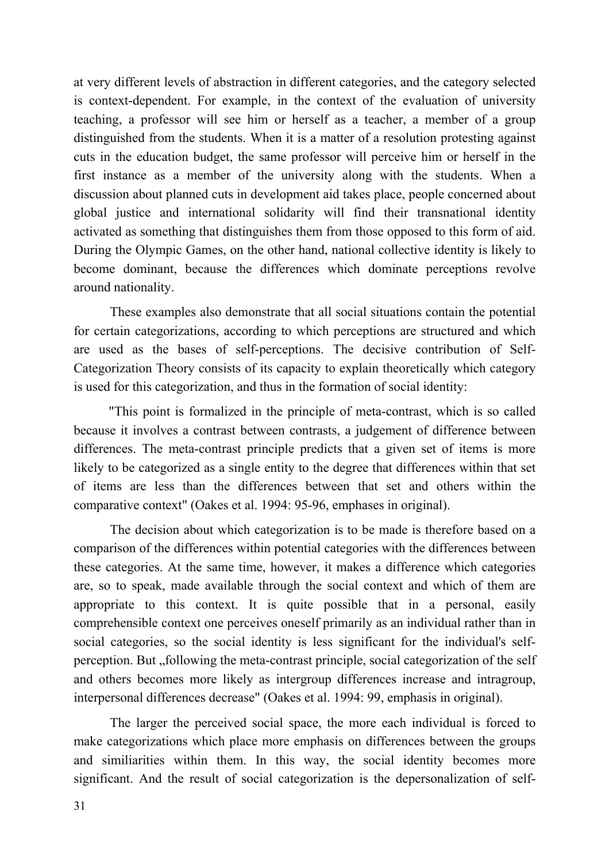at very different levels of abstraction in different categories, and the category selected is context-dependent. For example, in the context of the evaluation of university teaching, a professor will see him or herself as a teacher, a member of a group distinguished from the students. When it is a matter of a resolution protesting against cuts in the education budget, the same professor will perceive him or herself in the first instance as a member of the university along with the students. When a discussion about planned cuts in development aid takes place, people concerned about global justice and international solidarity will find their transnational identity activated as something that distinguishes them from those opposed to this form of aid. During the Olympic Games, on the other hand, national collective identity is likely to become dominant, because the differences which dominate perceptions revolve around nationality.

These examples also demonstrate that all social situations contain the potential for certain categorizations, according to which perceptions are structured and which are used as the bases of self-perceptions. The decisive contribution of Self-Categorization Theory consists of its capacity to explain theoretically which category is used for this categorization, and thus in the formation of social identity:

"This point is formalized in the principle of meta-contrast, which is so called because it involves a contrast between contrasts, a judgement of difference between differences. The meta-contrast principle predicts that a given set of items is more likely to be categorized as a single entity to the degree that differences within that set of items are less than the differences between that set and others within the comparative context" (Oakes et al. 1994: 95-96, emphases in original).

The decision about which categorization is to be made is therefore based on a comparison of the differences within potential categories with the differences between these categories. At the same time, however, it makes a difference which categories are, so to speak, made available through the social context and which of them are appropriate to this context. It is quite possible that in a personal, easily comprehensible context one perceives oneself primarily as an individual rather than in social categories, so the social identity is less significant for the individual's selfperception. But , following the meta-contrast principle, social categorization of the self and others becomes more likely as intergroup differences increase and intragroup, interpersonal differences decrease" (Oakes et al. 1994: 99, emphasis in original).

The larger the perceived social space, the more each individual is forced to make categorizations which place more emphasis on differences between the groups and similiarities within them. In this way, the social identity becomes more significant. And the result of social categorization is the depersonalization of self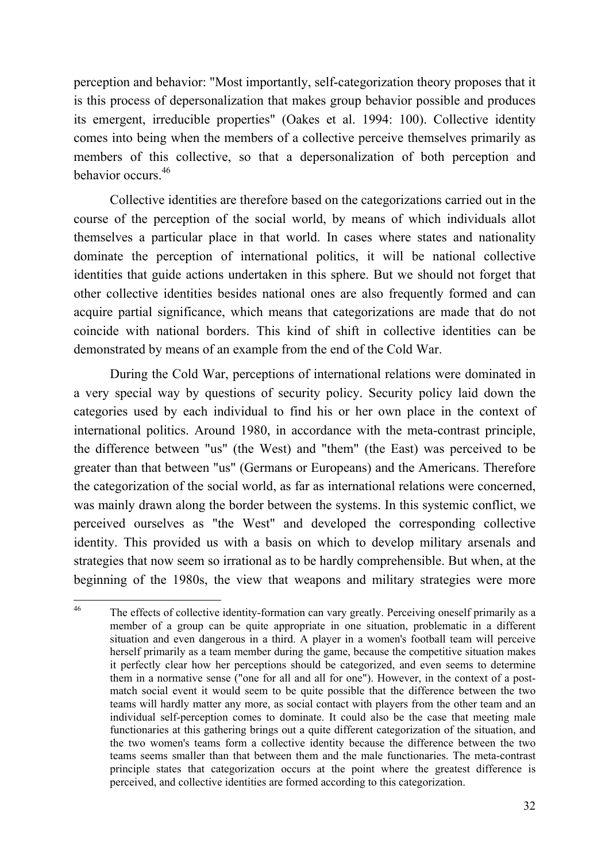perception and behavior: "Most importantly, self-categorization theory proposes that it is this process of depersonalization that makes group behavior possible and produces its emergent, irreducible properties" (Oakes et al. 1994: 100). Collective identity comes into being when the members of a collective perceive themselves primarily as members of this collective, so that a depersonalization of both perception and behavior occurs. 46

Collective identities are therefore based on the categorizations carried out in the course of the perception of the social world, by means of which individuals allot themselves a particular place in that world. In cases where states and nationality dominate the perception of international politics, it will be national collective identities that guide actions undertaken in this sphere. But we should not forget that other collective identities besides national ones are also frequently formed and can acquire partial significance, which means that categorizations are made that do not coincide with national borders. This kind of shift in collective identities can be demonstrated by means of an example from the end of the Cold War.

During the Cold War, perceptions of international relations were dominated in a very special way by questions of security policy. Security policy laid down the categories used by each individual to find his or her own place in the context of international politics. Around 1980, in accordance with the meta-contrast principle, the difference between "us" (the West) and "them" (the East) was perceived to be greater than that between "us" (Germans or Europeans) and the Americans. Therefore the categorization of the social world, as far as international relations were concerned, was mainly drawn along the border between the systems. In this systemic conflict, we perceived ourselves as "the West" and developed the corresponding collective identity. This provided us with a basis on which to develop military arsenals and strategies that now seem so irrational as to be hardly comprehensible. But when, at the beginning of the 1980s, the view that weapons and military strategies were more

<sup>&</sup>lt;sup>46</sup> The effects of collective identity-formation can vary greatly. Perceiving oneself primarily as a member of a group can be quite appropriate in one situation, problematic in a different situation and even dangerous in a third. A player in a women's football team will perceive herself primarily as a team member during the game, because the competitive situation makes it perfectly clear how her perceptions should be categorized, and even seems to determine them in a normative sense ("one for all and all for one"). However, in the context of a postmatch social event it would seem to be quite possible that the difference between the two teams will hardly matter any more, as social contact with players from the other team and an individual self-perception comes to dominate. It could also be the case that meeting male functionaries at this gathering brings out a quite different categorization of the situation, and the two women's teams form a collective identity because the difference between the two teams seems smaller than that between them and the male functionaries. The meta-contrast principle states that categorization occurs at the point where the greatest difference is perceived, and collective identities are formed according to this categorization.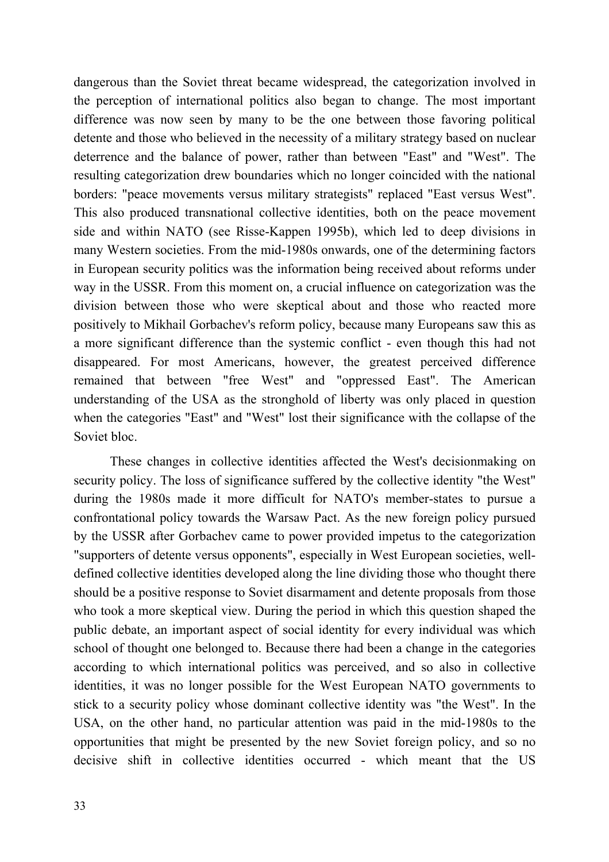dangerous than the Soviet threat became widespread, the categorization involved in the perception of international politics also began to change. The most important difference was now seen by many to be the one between those favoring political detente and those who believed in the necessity of a military strategy based on nuclear deterrence and the balance of power, rather than between "East" and "West". The resulting categorization drew boundaries which no longer coincided with the national borders: "peace movements versus military strategists" replaced "East versus West". This also produced transnational collective identities, both on the peace movement side and within NATO (see Risse-Kappen 1995b), which led to deep divisions in many Western societies. From the mid-1980s onwards, one of the determining factors in European security politics was the information being received about reforms under way in the USSR. From this moment on, a crucial influence on categorization was the division between those who were skeptical about and those who reacted more positively to Mikhail Gorbachev's reform policy, because many Europeans saw this as a more significant difference than the systemic conflict - even though this had not disappeared. For most Americans, however, the greatest perceived difference remained that between "free West" and "oppressed East". The American understanding of the USA as the stronghold of liberty was only placed in question when the categories "East" and "West" lost their significance with the collapse of the Soviet bloc.

These changes in collective identities affected the West's decisionmaking on security policy. The loss of significance suffered by the collective identity "the West" during the 1980s made it more difficult for NATO's member-states to pursue a confrontational policy towards the Warsaw Pact. As the new foreign policy pursued by the USSR after Gorbachev came to power provided impetus to the categorization "supporters of detente versus opponents", especially in West European societies, welldefined collective identities developed along the line dividing those who thought there should be a positive response to Soviet disarmament and detente proposals from those who took a more skeptical view. During the period in which this question shaped the public debate, an important aspect of social identity for every individual was which school of thought one belonged to. Because there had been a change in the categories according to which international politics was perceived, and so also in collective identities, it was no longer possible for the West European NATO governments to stick to a security policy whose dominant collective identity was "the West". In the USA, on the other hand, no particular attention was paid in the mid-1980s to the opportunities that might be presented by the new Soviet foreign policy, and so no decisive shift in collective identities occurred - which meant that the US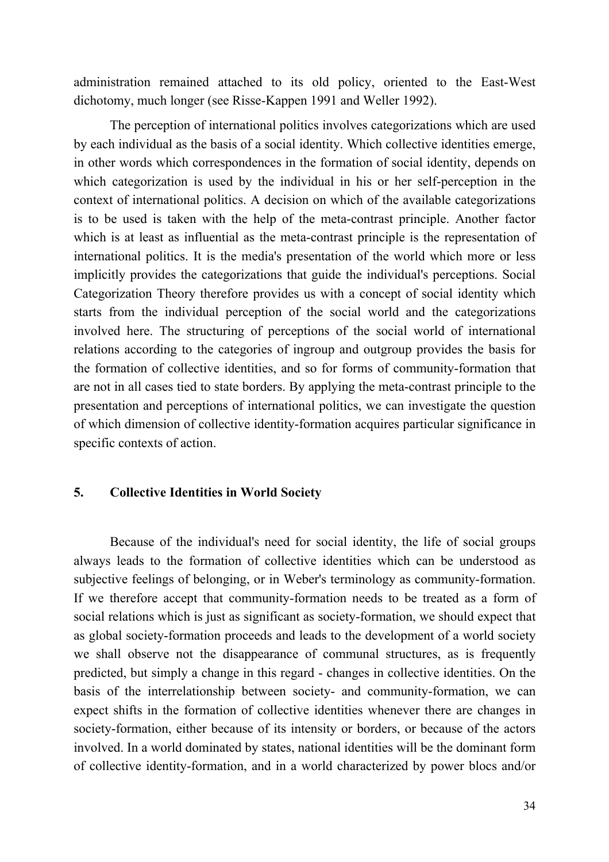administration remained attached to its old policy, oriented to the East-West dichotomy, much longer (see Risse-Kappen 1991 and Weller 1992).

The perception of international politics involves categorizations which are used by each individual as the basis of a social identity. Which collective identities emerge, in other words which correspondences in the formation of social identity, depends on which categorization is used by the individual in his or her self-perception in the context of international politics. A decision on which of the available categorizations is to be used is taken with the help of the meta-contrast principle. Another factor which is at least as influential as the meta-contrast principle is the representation of international politics. It is the media's presentation of the world which more or less implicitly provides the categorizations that guide the individual's perceptions. Social Categorization Theory therefore provides us with a concept of social identity which starts from the individual perception of the social world and the categorizations involved here. The structuring of perceptions of the social world of international relations according to the categories of ingroup and outgroup provides the basis for the formation of collective identities, and so for forms of community-formation that are not in all cases tied to state borders. By applying the meta-contrast principle to the presentation and perceptions of international politics, we can investigate the question of which dimension of collective identity-formation acquires particular significance in specific contexts of action.

#### **5. Collective Identities in World Society**

Because of the individual's need for social identity, the life of social groups always leads to the formation of collective identities which can be understood as subjective feelings of belonging, or in Weber's terminology as community-formation. If we therefore accept that community-formation needs to be treated as a form of social relations which is just as significant as society-formation, we should expect that as global society-formation proceeds and leads to the development of a world society we shall observe not the disappearance of communal structures, as is frequently predicted, but simply a change in this regard - changes in collective identities. On the basis of the interrelationship between society- and community-formation, we can expect shifts in the formation of collective identities whenever there are changes in society-formation, either because of its intensity or borders, or because of the actors involved. In a world dominated by states, national identities will be the dominant form of collective identity-formation, and in a world characterized by power blocs and/or

34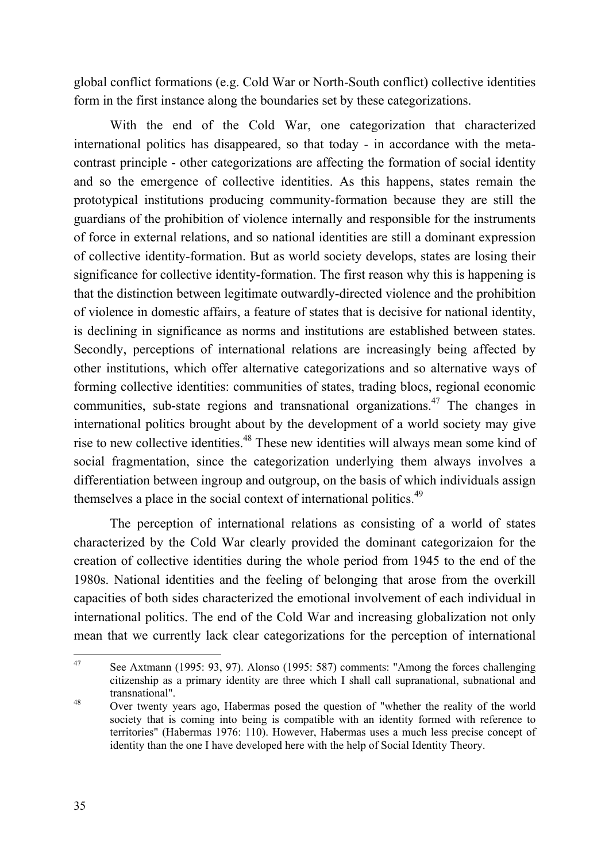global conflict formations (e.g. Cold War or North-South conflict) collective identities form in the first instance along the boundaries set by these categorizations.

With the end of the Cold War, one categorization that characterized international politics has disappeared, so that today - in accordance with the metacontrast principle - other categorizations are affecting the formation of social identity and so the emergence of collective identities. As this happens, states remain the prototypical institutions producing community-formation because they are still the guardians of the prohibition of violence internally and responsible for the instruments of force in external relations, and so national identities are still a dominant expression of collective identity-formation. But as world society develops, states are losing their significance for collective identity-formation. The first reason why this is happening is that the distinction between legitimate outwardly-directed violence and the prohibition of violence in domestic affairs, a feature of states that is decisive for national identity, is declining in significance as norms and institutions are established between states. Secondly, perceptions of international relations are increasingly being affected by other institutions, which offer alternative categorizations and so alternative ways of forming collective identities: communities of states, trading blocs, regional economic communities, sub-state regions and transnational organizations.<sup>47</sup> The changes in international politics brought about by the development of a world society may give rise to new collective identities. 48 These new identities will always mean some kind of social fragmentation, since the categorization underlying them always involves a differentiation between ingroup and outgroup, on the basis of which individuals assign themselves a place in the social context of international politics.<sup>49</sup>

The perception of international relations as consisting of a world of states characterized by the Cold War clearly provided the dominant categorizaion for the creation of collective identities during the whole period from 1945 to the end of the 1980s. National identities and the feeling of belonging that arose from the overkill capacities of both sides characterized the emotional involvement of each individual in international politics. The end of the Cold War and increasing globalization not only mean that we currently lack clear categorizations for the perception of international

<sup>47</sup> See Axtmann (1995: 93, 97). Alonso (1995: 587) comments: "Among the forces challenging citizenship as a primary identity are three which I shall call supranational, subnational and transnational".

<sup>&</sup>lt;sup>48</sup> Over twenty years ago, Habermas posed the question of "whether the reality of the world" society that is coming into being is compatible with an identity formed with reference to territories" (Habermas 1976: 110). However, Habermas uses a much less precise concept of identity than the one I have developed here with the help of Social Identity Theory.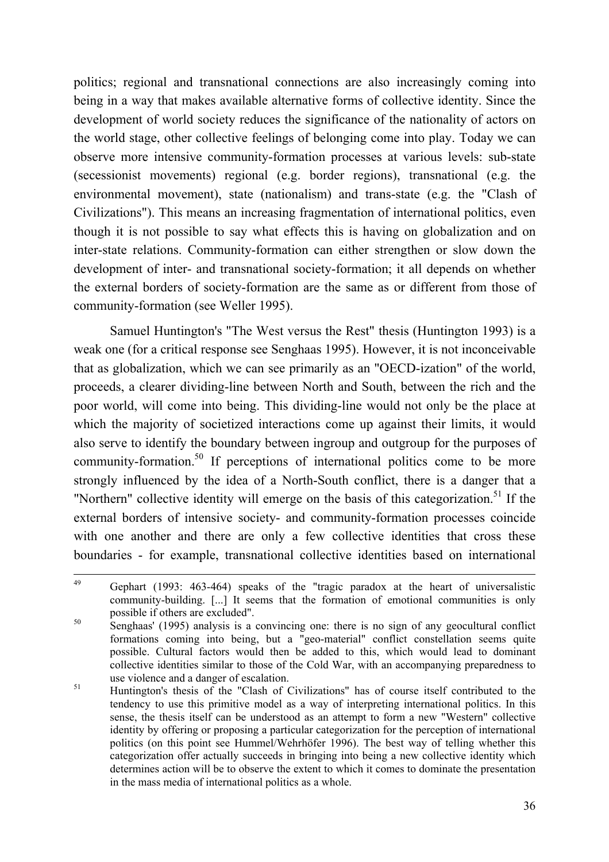politics; regional and transnational connections are also increasingly coming into being in a way that makes available alternative forms of collective identity. Since the development of world society reduces the significance of the nationality of actors on the world stage, other collective feelings of belonging come into play. Today we can observe more intensive community-formation processes at various levels: sub-state (secessionist movements) regional (e.g. border regions), transnational (e.g. the environmental movement), state (nationalism) and trans-state (e.g. the "Clash of Civilizations"). This means an increasing fragmentation of international politics, even though it is not possible to say what effects this is having on globalization and on inter-state relations. Community-formation can either strengthen or slow down the development of inter- and transnational society-formation; it all depends on whether the external borders of society-formation are the same as or different from those of community-formation (see Weller 1995).

Samuel Huntington's "The West versus the Rest" thesis (Huntington 1993) is a weak one (for a critical response see Senghaas 1995). However, it is not inconceivable that as globalization, which we can see primarily as an "OECD-ization" of the world, proceeds, a clearer dividing-line between North and South, between the rich and the poor world, will come into being. This dividing-line would not only be the place at which the majority of societized interactions come up against their limits, it would also serve to identify the boundary between ingroup and outgroup for the purposes of community-formation.<sup>50</sup> If perceptions of international politics come to be more strongly influenced by the idea of a North-South conflict, there is a danger that a "Northern" collective identity will emerge on the basis of this categorization.<sup>51</sup> If the external borders of intensive society- and community-formation processes coincide with one another and there are only a few collective identities that cross these boundaries - for example, transnational collective identities based on international

<sup>49</sup> Gephart (1993: 463-464) speaks of the "tragic paradox at the heart of universalistic community-building. [...] It seems that the formation of emotional communities is only possible if others are excluded".

<sup>50</sup> Senghaas' (1995) analysis is a convincing one: there is no sign of any geocultural conflict formations coming into being, but a "geo-material" conflict constellation seems quite possible. Cultural factors would then be added to this, which would lead to dominant collective identities similar to those of the Cold War, with an accompanying preparedness to use violence and a danger of escalation.

<sup>&</sup>lt;sup>51</sup> Huntington's thesis of the "Clash of Civilizations" has of course itself contributed to the tendency to use this primitive model as a way of interpreting international politics. In this sense, the thesis itself can be understood as an attempt to form a new "Western" collective identity by offering or proposing a particular categorization for the perception of international politics (on this point see Hummel/Wehrhöfer 1996). The best way of telling whether this categorization offer actually succeeds in bringing into being a new collective identity which determines action will be to observe the extent to which it comes to dominate the presentation in the mass media of international politics as a whole.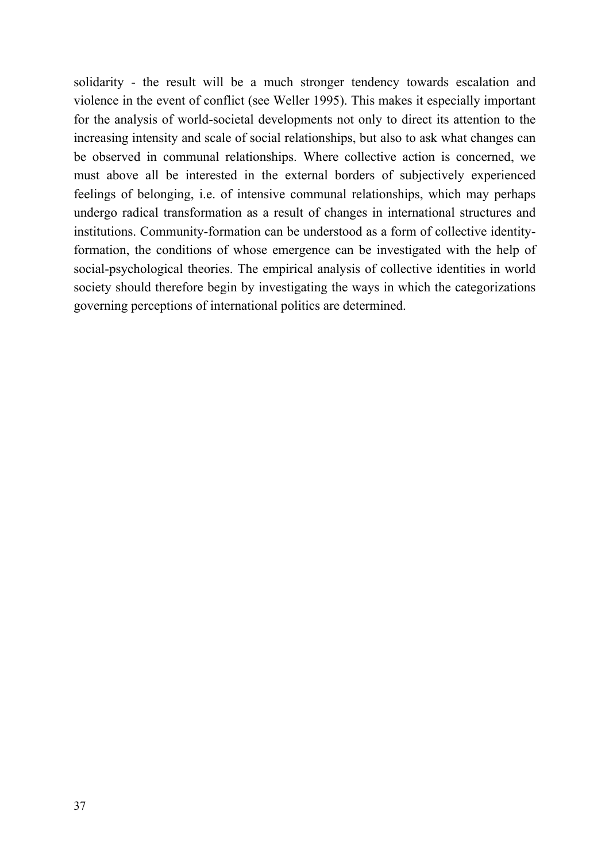solidarity - the result will be a much stronger tendency towards escalation and violence in the event of conflict (see Weller 1995). This makes it especially important for the analysis of world-societal developments not only to direct its attention to the increasing intensity and scale of social relationships, but also to ask what changes can be observed in communal relationships. Where collective action is concerned, we must above all be interested in the external borders of subjectively experienced feelings of belonging, i.e. of intensive communal relationships, which may perhaps undergo radical transformation as a result of changes in international structures and institutions. Community-formation can be understood as a form of collective identityformation, the conditions of whose emergence can be investigated with the help of social-psychological theories. The empirical analysis of collective identities in world society should therefore begin by investigating the ways in which the categorizations governing perceptions of international politics are determined.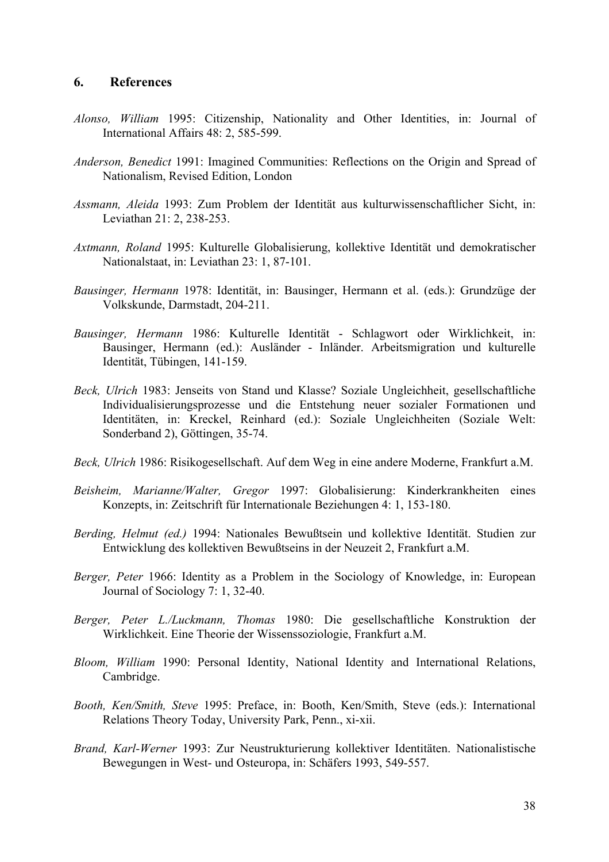#### **6. References**

- *Alonso, William* 1995: Citizenship, Nationality and Other Identities, in: Journal of International Affairs 48: 2, 585-599.
- *Anderson, Benedict* 1991: Imagined Communities: Reflections on the Origin and Spread of Nationalism, Revised Edition, London
- *Assmann, Aleida* 1993: Zum Problem der Identität aus kulturwissenschaftlicher Sicht, in: Leviathan 21: 2, 238-253.
- *Axtmann, Roland* 1995: Kulturelle Globalisierung, kollektive Identität und demokratischer Nationalstaat, in: Leviathan 23: 1, 87-101.
- *Bausinger, Hermann* 1978: Identität, in: Bausinger, Hermann et al. (eds.): Grundzüge der Volkskunde, Darmstadt, 204-211.
- *Bausinger, Hermann* 1986: Kulturelle Identität Schlagwort oder Wirklichkeit, in: Bausinger, Hermann (ed.): Ausländer - Inländer. Arbeitsmigration und kulturelle Identität, Tübingen, 141-159.
- *Beck, Ulrich* 1983: Jenseits von Stand und Klasse? Soziale Ungleichheit, gesellschaftliche Individualisierungsprozesse und die Entstehung neuer sozialer Formationen und Identitäten, in: Kreckel, Reinhard (ed.): Soziale Ungleichheiten (Soziale Welt: Sonderband 2), Göttingen, 35-74.
- *Beck, Ulrich* 1986: Risikogesellschaft. Auf dem Weg in eine andere Moderne, Frankfurt a.M.
- *Beisheim, Marianne/Walter, Gregor* 1997: Globalisierung: Kinderkrankheiten eines Konzepts, in: Zeitschrift für Internationale Beziehungen 4: 1, 153-180.
- *Berding, Helmut (ed.)* 1994: Nationales Bewußtsein und kollektive Identität. Studien zur Entwicklung des kollektiven Bewußtseins in der Neuzeit 2, Frankfurt a.M.
- *Berger, Peter* 1966: Identity as a Problem in the Sociology of Knowledge, in: European Journal of Sociology 7: 1, 32-40.
- *Berger, Peter L./Luckmann, Thomas* 1980: Die gesellschaftliche Konstruktion der Wirklichkeit. Eine Theorie der Wissenssoziologie, Frankfurt a.M.
- *Bloom, William* 1990: Personal Identity, National Identity and International Relations, Cambridge.
- *Booth, Ken/Smith, Steve* 1995: Preface, in: Booth, Ken/Smith, Steve (eds.): International Relations Theory Today, University Park, Penn., xi-xii.
- *Brand, Karl-Werner* 1993: Zur Neustrukturierung kollektiver Identitäten. Nationalistische Bewegungen in West- und Osteuropa, in: Schäfers 1993, 549-557.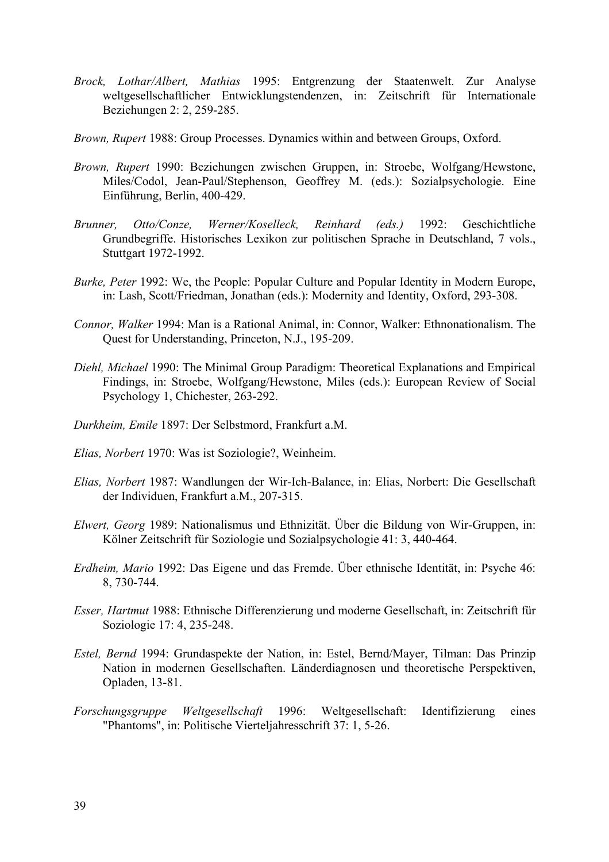- *Brock, Lothar/Albert, Mathias* 1995: Entgrenzung der Staatenwelt. Zur Analyse weltgesellschaftlicher Entwicklungstendenzen, in: Zeitschrift für Internationale Beziehungen 2: 2, 259-285.
- *Brown, Rupert* 1988: Group Processes. Dynamics within and between Groups, Oxford.
- *Brown, Rupert* 1990: Beziehungen zwischen Gruppen, in: Stroebe, Wolfgang/Hewstone, Miles/Codol, Jean-Paul/Stephenson, Geoffrey M. (eds.): Sozialpsychologie. Eine Einführung, Berlin, 400-429.
- *Brunner, Otto/Conze, Werner/Koselleck, Reinhard (eds.)* 1992: Geschichtliche Grundbegriffe. Historisches Lexikon zur politischen Sprache in Deutschland, 7 vols., Stuttgart 1972-1992.
- *Burke, Peter* 1992: We, the People: Popular Culture and Popular Identity in Modern Europe, in: Lash, Scott/Friedman, Jonathan (eds.): Modernity and Identity, Oxford, 293-308.
- *Connor, Walker* 1994: Man is a Rational Animal, in: Connor, Walker: Ethnonationalism. The Quest for Understanding, Princeton, N.J., 195-209.
- *Diehl, Michael* 1990: The Minimal Group Paradigm: Theoretical Explanations and Empirical Findings, in: Stroebe, Wolfgang/Hewstone, Miles (eds.): European Review of Social Psychology 1, Chichester, 263-292.
- *Durkheim, Emile* 1897: Der Selbstmord, Frankfurt a.M.
- *Elias, Norbert* 1970: Was ist Soziologie?, Weinheim.
- *Elias, Norbert* 1987: Wandlungen der Wir-Ich-Balance, in: Elias, Norbert: Die Gesellschaft der Individuen, Frankfurt a.M., 207-315.
- *Elwert, Georg* 1989: Nationalismus und Ethnizität. Über die Bildung von Wir-Gruppen, in: Kölner Zeitschrift für Soziologie und Sozialpsychologie 41: 3, 440-464.
- *Erdheim, Mario* 1992: Das Eigene und das Fremde. Über ethnische Identität, in: Psyche 46: 8, 730-744.
- *Esser, Hartmut* 1988: Ethnische Differenzierung und moderne Gesellschaft, in: Zeitschrift für Soziologie 17: 4, 235-248.
- *Estel, Bernd* 1994: Grundaspekte der Nation, in: Estel, Bernd/Mayer, Tilman: Das Prinzip Nation in modernen Gesellschaften. Länderdiagnosen und theoretische Perspektiven, Opladen, 13-81.
- *Forschungsgruppe Weltgesellschaft* 1996: Weltgesellschaft: Identifizierung eines "Phantoms", in: Politische Vierteljahresschrift 37: 1, 5-26.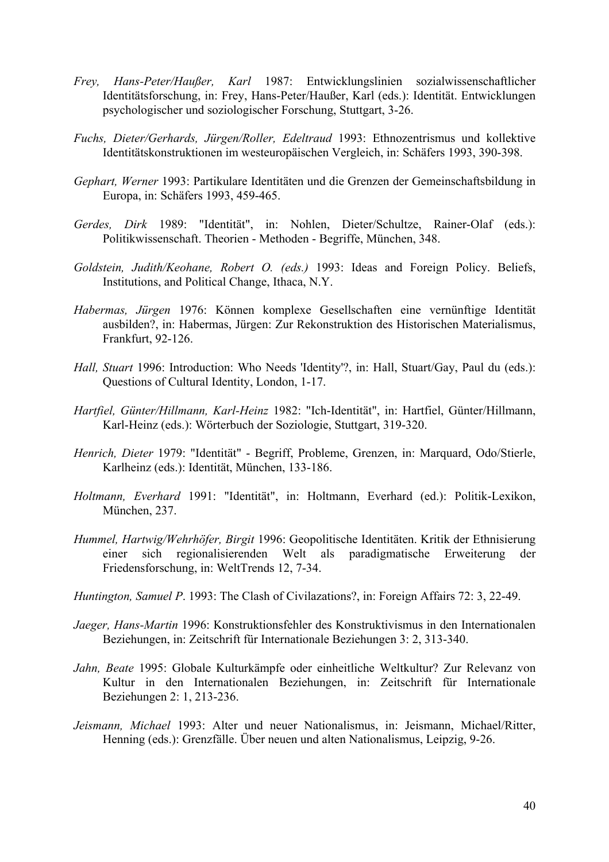- *Frey, Hans-Peter/Haußer, Karl* 1987: Entwicklungslinien sozialwissenschaftlicher Identitätsforschung, in: Frey, Hans-Peter/Haußer, Karl (eds.): Identität. Entwicklungen psychologischer und soziologischer Forschung, Stuttgart, 3-26.
- *Fuchs, Dieter/Gerhards, Jürgen/Roller, Edeltraud* 1993: Ethnozentrismus und kollektive Identitätskonstruktionen im westeuropäischen Vergleich, in: Schäfers 1993, 390-398.
- *Gephart, Werner* 1993: Partikulare Identitäten und die Grenzen der Gemeinschaftsbildung in Europa, in: Schäfers 1993, 459-465.
- *Gerdes, Dirk* 1989: "Identität", in: Nohlen, Dieter/Schultze, Rainer-Olaf (eds.): Politikwissenschaft. Theorien - Methoden - Begriffe, München, 348.
- *Goldstein, Judith/Keohane, Robert O. (eds.)* 1993: Ideas and Foreign Policy. Beliefs, Institutions, and Political Change, Ithaca, N.Y.
- *Habermas, Jürgen* 1976: Können komplexe Gesellschaften eine vernünftige Identität ausbilden?, in: Habermas, Jürgen: Zur Rekonstruktion des Historischen Materialismus, Frankfurt, 92-126.
- *Hall, Stuart* 1996: Introduction: Who Needs 'Identity'?, in: Hall, Stuart/Gay, Paul du (eds.): Questions of Cultural Identity, London, 1-17.
- *Hartfiel, Günter/Hillmann, Karl-Heinz* 1982: "Ich-Identität", in: Hartfiel, Günter/Hillmann, Karl-Heinz (eds.): Wörterbuch der Soziologie, Stuttgart, 319-320.
- *Henrich, Dieter* 1979: "Identität" Begriff, Probleme, Grenzen, in: Marquard, Odo/Stierle, Karlheinz (eds.): Identität, München, 133-186.
- *Holtmann, Everhard* 1991: "Identität", in: Holtmann, Everhard (ed.): Politik-Lexikon, München, 237.
- *Hummel, Hartwig/Wehrhöfer, Birgit* 1996: Geopolitische Identitäten. Kritik der Ethnisierung einer sich regionalisierenden Welt als paradigmatische Erweiterung der Friedensforschung, in: WeltTrends 12, 7-34.
- *Huntington, Samuel P*. 1993: The Clash of Civilazations?, in: Foreign Affairs 72: 3, 22-49.
- *Jaeger, Hans-Martin* 1996: Konstruktionsfehler des Konstruktivismus in den Internationalen Beziehungen, in: Zeitschrift für Internationale Beziehungen 3: 2, 313-340.
- *Jahn, Beate* 1995: Globale Kulturkämpfe oder einheitliche Weltkultur? Zur Relevanz von Kultur in den Internationalen Beziehungen, in: Zeitschrift für Internationale Beziehungen 2: 1, 213-236.
- *Jeismann, Michael* 1993: Alter und neuer Nationalismus, in: Jeismann, Michael/Ritter, Henning (eds.): Grenzfälle. Über neuen und alten Nationalismus, Leipzig, 9-26.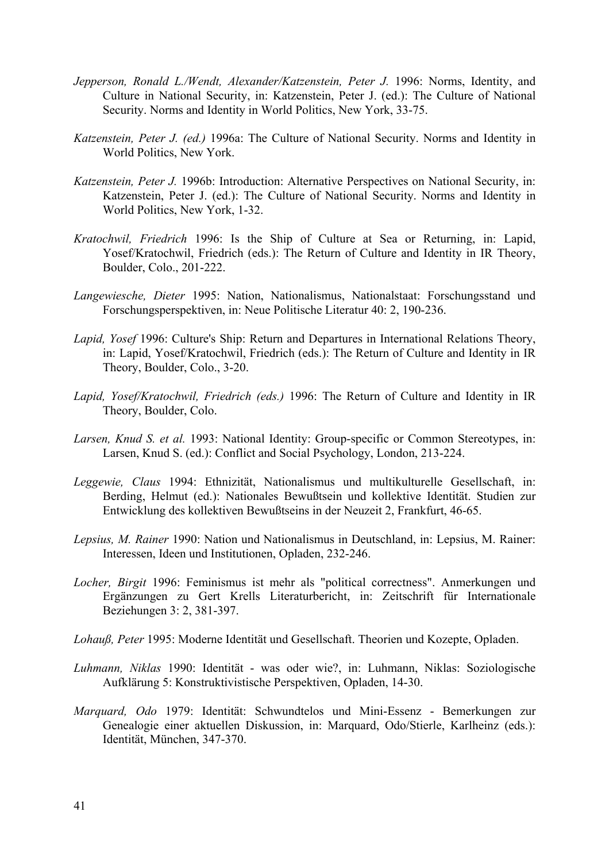- *Jepperson, Ronald L./Wendt, Alexander/Katzenstein, Peter J.* 1996: Norms, Identity, and Culture in National Security, in: Katzenstein, Peter J. (ed.): The Culture of National Security. Norms and Identity in World Politics, New York, 33-75.
- *Katzenstein, Peter J. (ed.)* 1996a: The Culture of National Security. Norms and Identity in World Politics, New York.
- *Katzenstein, Peter J.* 1996b: Introduction: Alternative Perspectives on National Security, in: Katzenstein, Peter J. (ed.): The Culture of National Security. Norms and Identity in World Politics, New York, 1-32.
- *Kratochwil, Friedrich* 1996: Is the Ship of Culture at Sea or Returning, in: Lapid, Yosef/Kratochwil, Friedrich (eds.): The Return of Culture and Identity in IR Theory, Boulder, Colo., 201-222.
- *Langewiesche, Dieter* 1995: Nation, Nationalismus, Nationalstaat: Forschungsstand und Forschungsperspektiven, in: Neue Politische Literatur 40: 2, 190-236.
- *Lapid, Yosef* 1996: Culture's Ship: Return and Departures in International Relations Theory, in: Lapid, Yosef/Kratochwil, Friedrich (eds.): The Return of Culture and Identity in IR Theory, Boulder, Colo., 3-20.
- *Lapid, Yosef/Kratochwil, Friedrich (eds.)* 1996: The Return of Culture and Identity in IR Theory, Boulder, Colo.
- *Larsen, Knud S. et al.* 1993: National Identity: Group-specific or Common Stereotypes, in: Larsen, Knud S. (ed.): Conflict and Social Psychology, London, 213-224.
- *Leggewie, Claus* 1994: Ethnizität, Nationalismus und multikulturelle Gesellschaft, in: Berding, Helmut (ed.): Nationales Bewußtsein und kollektive Identität. Studien zur Entwicklung des kollektiven Bewußtseins in der Neuzeit 2, Frankfurt, 46-65.
- *Lepsius, M. Rainer* 1990: Nation und Nationalismus in Deutschland, in: Lepsius, M. Rainer: Interessen, Ideen und Institutionen, Opladen, 232-246.
- *Locher, Birgit* 1996: Feminismus ist mehr als "political correctness". Anmerkungen und Ergänzungen zu Gert Krells Literaturbericht, in: Zeitschrift für Internationale Beziehungen 3: 2, 381-397.
- *Lohauß, Peter* 1995: Moderne Identität und Gesellschaft. Theorien und Kozepte, Opladen.
- *Luhmann, Niklas* 1990: Identität was oder wie?, in: Luhmann, Niklas: Soziologische Aufklärung 5: Konstruktivistische Perspektiven, Opladen, 14-30.
- *Marquard, Odo* 1979: Identität: Schwundtelos und Mini-Essenz Bemerkungen zur Genealogie einer aktuellen Diskussion, in: Marquard, Odo/Stierle, Karlheinz (eds.): Identität, München, 347-370.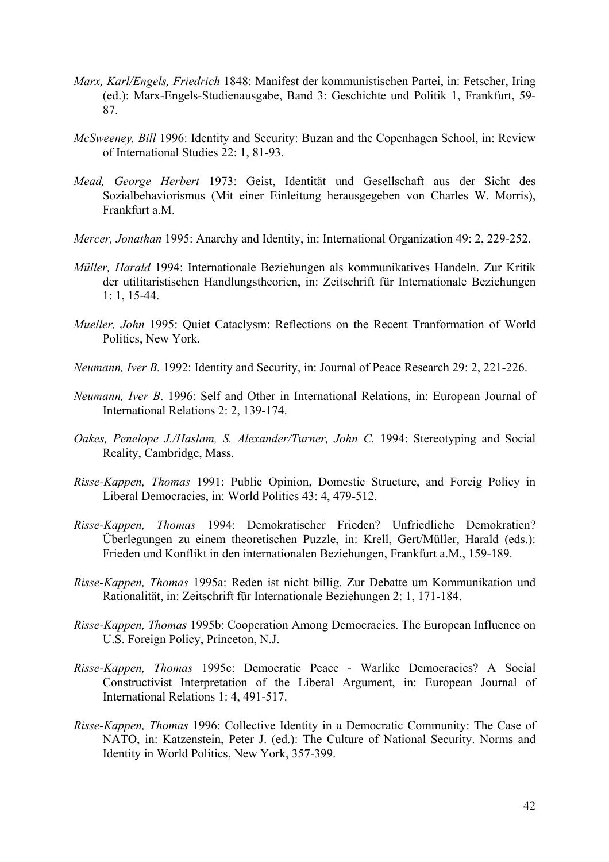- *Marx, Karl/Engels, Friedrich* 1848: Manifest der kommunistischen Partei, in: Fetscher, Iring (ed.): Marx-Engels-Studienausgabe, Band 3: Geschichte und Politik 1, Frankfurt, 59- 87.
- *McSweeney, Bill* 1996: Identity and Security: Buzan and the Copenhagen School, in: Review of International Studies 22: 1, 81-93.
- *Mead, George Herbert* 1973: Geist, Identität und Gesellschaft aus der Sicht des Sozialbehaviorismus (Mit einer Einleitung herausgegeben von Charles W. Morris), Frankfurt a.M.
- *Mercer, Jonathan* 1995: Anarchy and Identity, in: International Organization 49: 2, 229-252.
- *Müller, Harald* 1994: Internationale Beziehungen als kommunikatives Handeln. Zur Kritik der utilitaristischen Handlungstheorien, in: Zeitschrift für Internationale Beziehungen 1: 1, 15-44.
- *Mueller, John* 1995: Quiet Cataclysm: Reflections on the Recent Tranformation of World Politics, New York.
- *Neumann, Iver B.* 1992: Identity and Security, in: Journal of Peace Research 29: 2, 221-226.
- *Neumann, Iver B*. 1996: Self and Other in International Relations, in: European Journal of International Relations 2: 2, 139-174.
- *Oakes, Penelope J./Haslam, S. Alexander/Turner, John C.* 1994: Stereotyping and Social Reality, Cambridge, Mass.
- *Risse-Kappen, Thomas* 1991: Public Opinion, Domestic Structure, and Foreig Policy in Liberal Democracies, in: World Politics 43: 4, 479-512.
- *Risse-Kappen, Thomas* 1994: Demokratischer Frieden? Unfriedliche Demokratien? Überlegungen zu einem theoretischen Puzzle, in: Krell, Gert/Müller, Harald (eds.): Frieden und Konflikt in den internationalen Beziehungen, Frankfurt a.M., 159-189.
- *Risse-Kappen, Thomas* 1995a: Reden ist nicht billig. Zur Debatte um Kommunikation und Rationalität, in: Zeitschrift für Internationale Beziehungen 2: 1, 171-184.
- *Risse-Kappen, Thomas* 1995b: Cooperation Among Democracies. The European Influence on U.S. Foreign Policy, Princeton, N.J.
- *Risse-Kappen, Thomas* 1995c: Democratic Peace Warlike Democracies? A Social Constructivist Interpretation of the Liberal Argument, in: European Journal of International Relations 1: 4, 491-517.
- *Risse-Kappen, Thomas* 1996: Collective Identity in a Democratic Community: The Case of NATO, in: Katzenstein, Peter J. (ed.): The Culture of National Security. Norms and Identity in World Politics, New York, 357-399.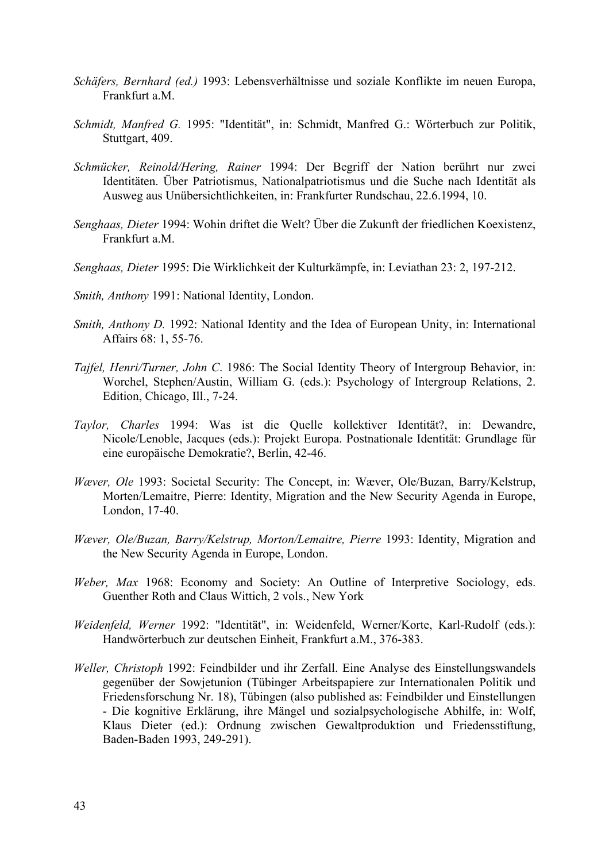- *Schäfers, Bernhard (ed.)* 1993: Lebensverhältnisse und soziale Konflikte im neuen Europa, Frankfurt a.M.
- *Schmidt, Manfred G.* 1995: "Identität", in: Schmidt, Manfred G.: Wörterbuch zur Politik, Stuttgart, 409.
- *Schmücker, Reinold/Hering, Rainer* 1994: Der Begriff der Nation berührt nur zwei Identitäten. Über Patriotismus, Nationalpatriotismus und die Suche nach Identität als Ausweg aus Unübersichtlichkeiten, in: Frankfurter Rundschau, 22.6.1994, 10.
- *Senghaas, Dieter* 1994: Wohin driftet die Welt? Über die Zukunft der friedlichen Koexistenz, Frankfurt a.M.
- *Senghaas, Dieter* 1995: Die Wirklichkeit der Kulturkämpfe, in: Leviathan 23: 2, 197-212.
- *Smith, Anthony* 1991: National Identity, London.
- *Smith, Anthony D.* 1992: National Identity and the Idea of European Unity, in: International Affairs 68: 1, 55-76.
- *Tajfel, Henri/Turner, John C*. 1986: The Social Identity Theory of Intergroup Behavior, in: Worchel, Stephen/Austin, William G. (eds.): Psychology of Intergroup Relations, 2. Edition, Chicago, Ill., 7-24.
- *Taylor, Charles* 1994: Was ist die Quelle kollektiver Identität?, in: Dewandre, Nicole/Lenoble, Jacques (eds.): Projekt Europa. Postnationale Identität: Grundlage für eine europäische Demokratie?, Berlin, 42-46.
- *Wæver, Ole* 1993: Societal Security: The Concept, in: Wæver, Ole/Buzan, Barry/Kelstrup, Morten/Lemaitre, Pierre: Identity, Migration and the New Security Agenda in Europe, London, 17-40.
- *Wæver, Ole/Buzan, Barry/Kelstrup, Morton/Lemaitre, Pierre* 1993: Identity, Migration and the New Security Agenda in Europe, London.
- *Weber, Max* 1968: Economy and Society: An Outline of Interpretive Sociology, eds. Guenther Roth and Claus Wittich, 2 vols., New York
- *Weidenfeld, Werner* 1992: "Identität", in: Weidenfeld, Werner/Korte, Karl-Rudolf (eds.): Handwörterbuch zur deutschen Einheit, Frankfurt a.M., 376-383.
- *Weller, Christoph* 1992: Feindbilder und ihr Zerfall. Eine Analyse des Einstellungswandels gegenüber der Sowjetunion (Tübinger Arbeitspapiere zur Internationalen Politik und Friedensforschung Nr. 18), Tübingen (also published as: Feindbilder und Einstellungen - Die kognitive Erklärung, ihre Mängel und sozialpsychologische Abhilfe, in: Wolf, Klaus Dieter (ed.): Ordnung zwischen Gewaltproduktion und Friedensstiftung, Baden-Baden 1993, 249-291).